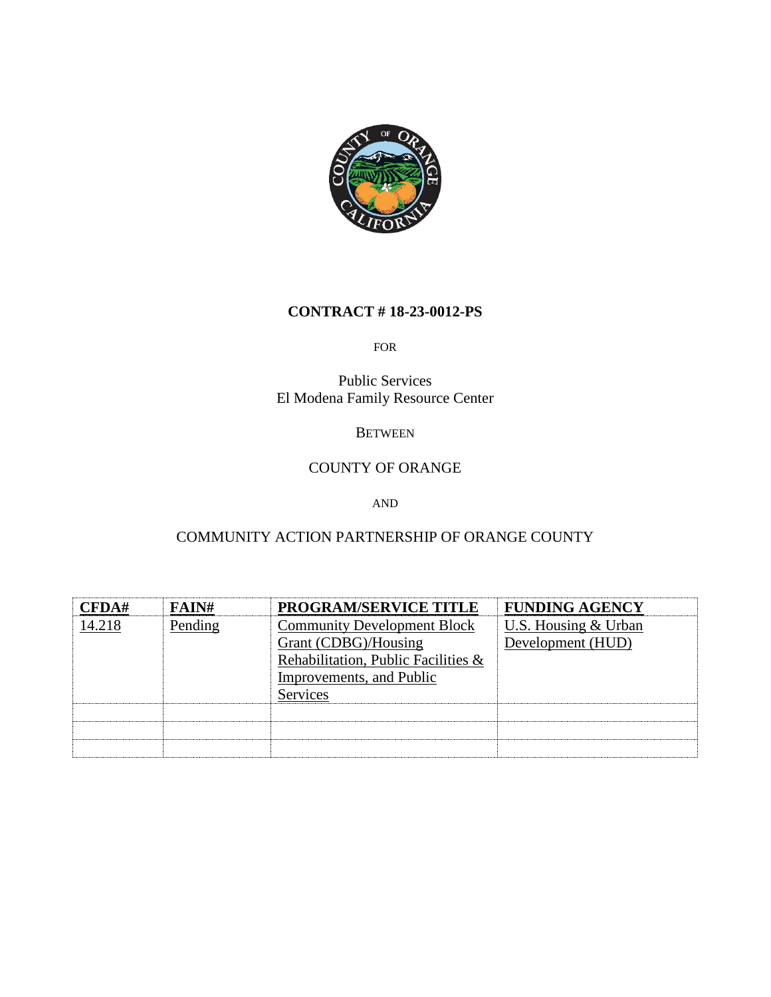

## **CONTRACT # 18-23-0012-PS**

#### FOR

Public Services El Modena Family Resource Center

#### **BETWEEN**

# COUNTY OF ORANGE

#### AND

# COMMUNITY ACTION PARTNERSHIP OF ORANGE COUNTY

| CFDA#  | FAIN#   | <b>PROGRAM/SERVICE TITLE</b>        | <b>FUNDING AGENCY</b> |
|--------|---------|-------------------------------------|-----------------------|
| 14.218 | Pending | <b>Community Development Block</b>  | U.S. Housing & Urban  |
|        |         | Grant (CDBG)/Housing                | Development (HUD)     |
|        |         | Rehabilitation, Public Facilities & |                       |
|        |         | Improvements, and Public            |                       |
|        |         | <b>Services</b>                     |                       |
|        |         |                                     |                       |
|        |         |                                     |                       |
|        |         |                                     |                       |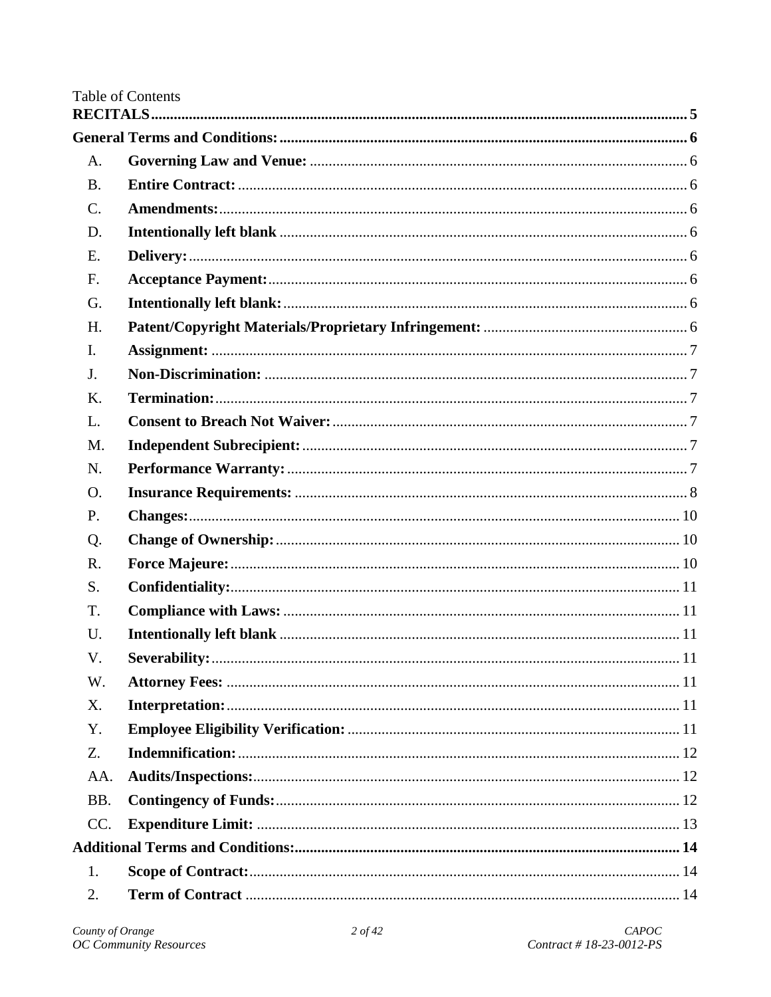# Table of Contents

| A.              |  |
|-----------------|--|
| <b>B.</b>       |  |
| $\mathcal{C}$ . |  |
| D.              |  |
| E.              |  |
| F.              |  |
| G.              |  |
| H.              |  |
| $\mathbf{I}$ .  |  |
| J.              |  |
| K.              |  |
| L.              |  |
| M.              |  |
| N.              |  |
| O.              |  |
| P.              |  |
| Q.              |  |
| R.              |  |
| S.              |  |
| T.              |  |
| U.              |  |
| V.              |  |
| W.              |  |
| X.              |  |
| Y.              |  |
| Z.              |  |
| AA.             |  |
| BB.             |  |
| CC.             |  |
|                 |  |
| 1.              |  |
| 2.              |  |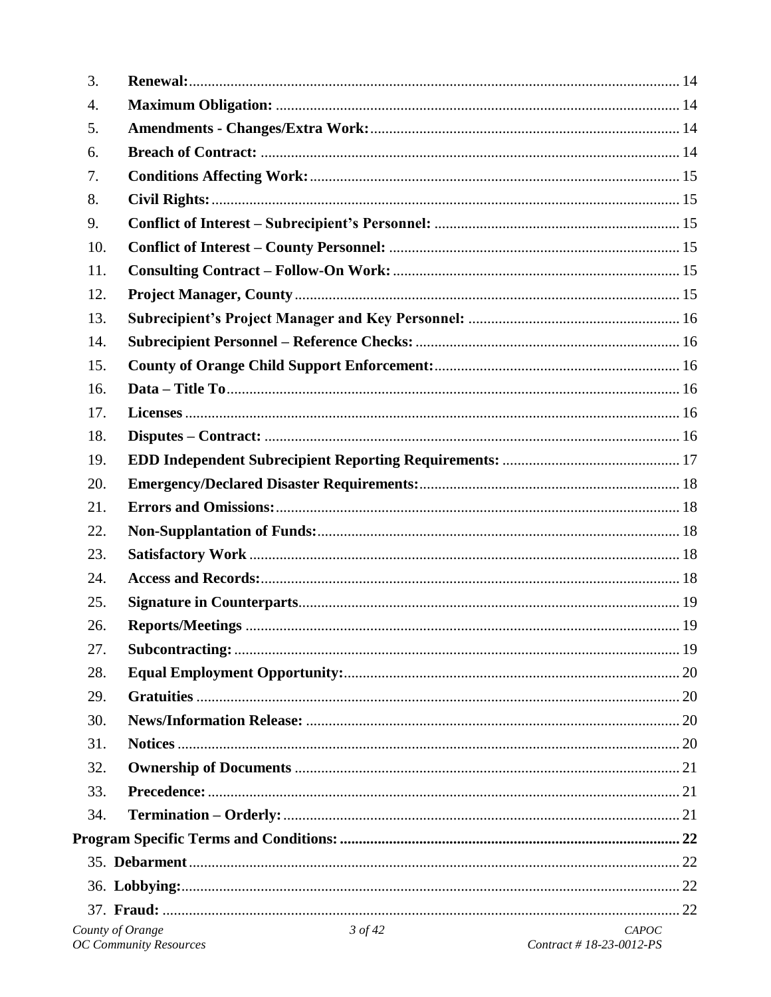| 3.               |                                            |                                  |
|------------------|--------------------------------------------|----------------------------------|
| 4.               |                                            |                                  |
| 5.               |                                            |                                  |
| 6.               |                                            |                                  |
| 7.               |                                            |                                  |
| 8.               |                                            |                                  |
| 9.               |                                            |                                  |
| 10.              |                                            |                                  |
| 11.              |                                            |                                  |
| 12.              |                                            |                                  |
| 13.              |                                            |                                  |
| 14.              |                                            |                                  |
| 15.              |                                            |                                  |
| 16.              |                                            |                                  |
| 17.              |                                            |                                  |
| 18.              |                                            |                                  |
| 19.              |                                            |                                  |
| 20.              |                                            |                                  |
| 21.              |                                            |                                  |
| 22.              |                                            |                                  |
| 23.              |                                            |                                  |
| 24.              |                                            |                                  |
| 25.              |                                            |                                  |
| 26.              |                                            |                                  |
| 27.              |                                            |                                  |
| 28.              |                                            |                                  |
| 29.              |                                            |                                  |
| 30.              |                                            |                                  |
| 31.              |                                            |                                  |
| 32.              |                                            |                                  |
| 33.              |                                            |                                  |
| 34.              |                                            |                                  |
|                  |                                            |                                  |
|                  |                                            |                                  |
|                  |                                            |                                  |
|                  |                                            |                                  |
| County of Orange | $3$ of 42<br><b>OC Community Resources</b> | CAPOC<br>Contract #18-23-0012-PS |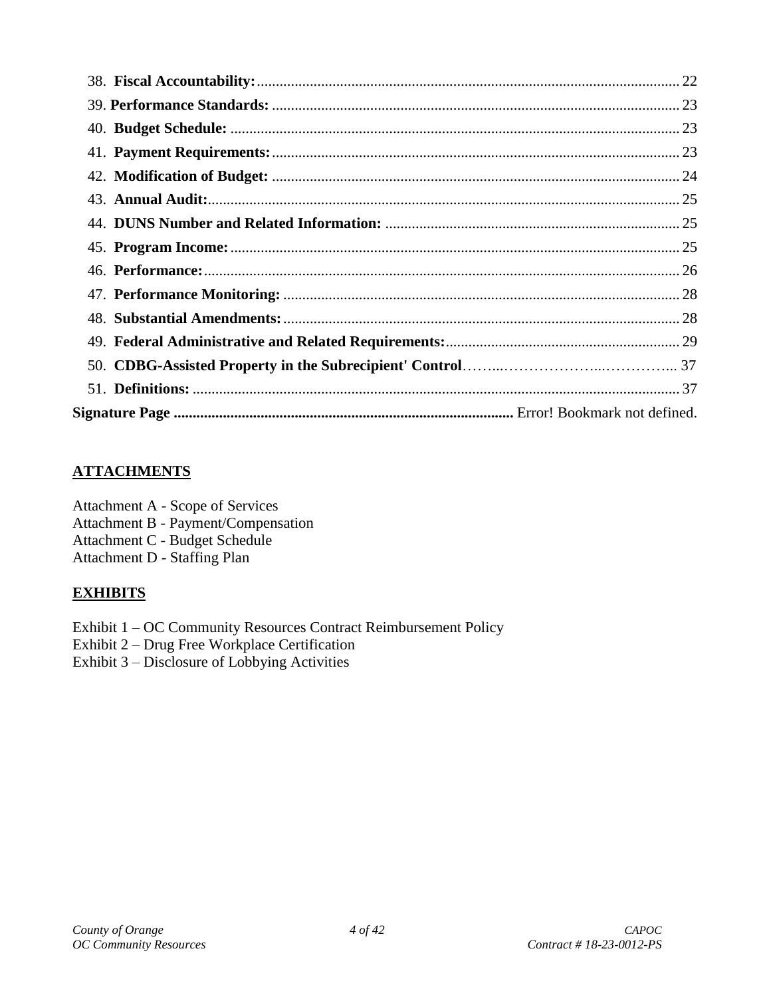# **ATTACHMENTS**

Attachment A - Scope of Services Attachment B - Payment/Compensation Attachment C - Budget Schedule Attachment D - Staffing Plan

# **EXHIBITS**

Exhibit 1 – OC Community Resources Contract Reimbursement Policy

Exhibit 2 – Drug Free Workplace Certification

Exhibit 3 – Disclosure of Lobbying Activities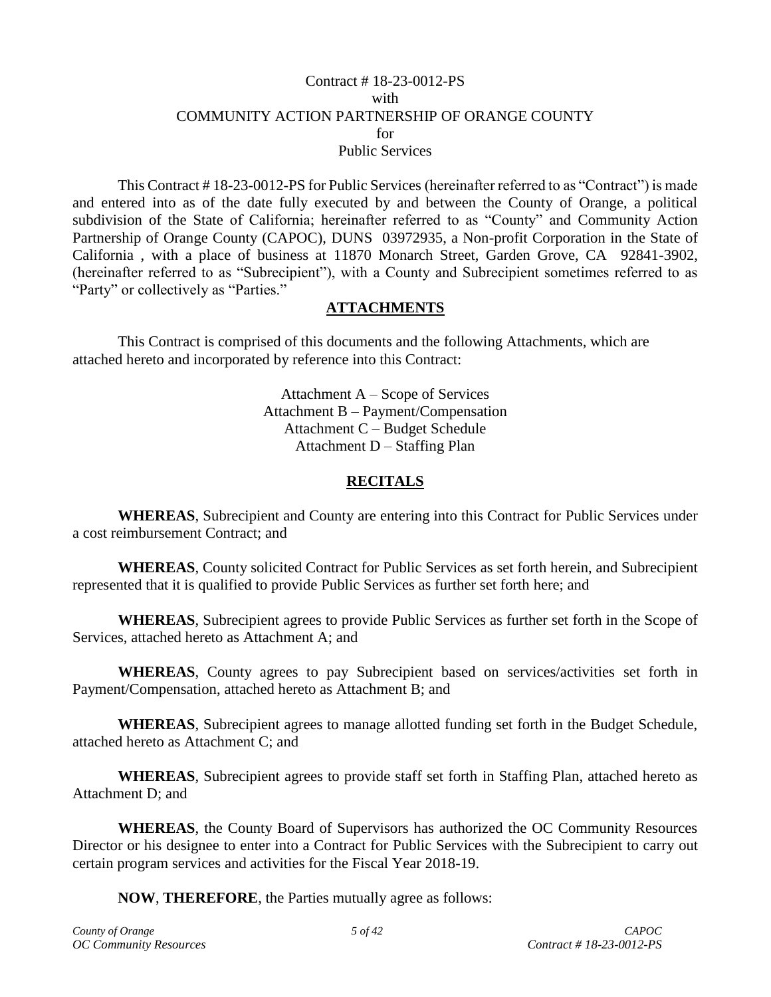#### Contract # 18-23-0012-PS with COMMUNITY ACTION PARTNERSHIP OF ORANGE COUNTY for Public Services

This Contract # 18-23-0012-PS for Public Services (hereinafter referred to as "Contract") is made and entered into as of the date fully executed by and between the County of Orange, a political subdivision of the State of California; hereinafter referred to as "County" and Community Action Partnership of Orange County (CAPOC), DUNS 03972935, a Non-profit Corporation in the State of California , with a place of business at 11870 Monarch Street, Garden Grove, CA 92841-3902, (hereinafter referred to as "Subrecipient"), with a County and Subrecipient sometimes referred to as "Party" or collectively as "Parties."

## **ATTACHMENTS**

This Contract is comprised of this documents and the following Attachments, which are attached hereto and incorporated by reference into this Contract:

> Attachment A – Scope of Services Attachment B – Payment/Compensation Attachment C – Budget Schedule Attachment D – Staffing Plan

## **RECITALS**

<span id="page-4-0"></span>**WHEREAS**, Subrecipient and County are entering into this Contract for Public Services under a cost reimbursement Contract; and

**WHEREAS**, County solicited Contract for Public Services as set forth herein, and Subrecipient represented that it is qualified to provide Public Services as further set forth here; and

**WHEREAS**, Subrecipient agrees to provide Public Services as further set forth in the Scope of Services, attached hereto as Attachment A; and

**WHEREAS**, County agrees to pay Subrecipient based on services/activities set forth in Payment/Compensation, attached hereto as Attachment B; and

**WHEREAS**, Subrecipient agrees to manage allotted funding set forth in the Budget Schedule, attached hereto as Attachment C; and

**WHEREAS**, Subrecipient agrees to provide staff set forth in Staffing Plan, attached hereto as Attachment D; and

**WHEREAS**, the County Board of Supervisors has authorized the OC Community Resources Director or his designee to enter into a Contract for Public Services with the Subrecipient to carry out certain program services and activities for the Fiscal Year 2018-19.

**NOW**, **THEREFORE**, the Parties mutually agree as follows: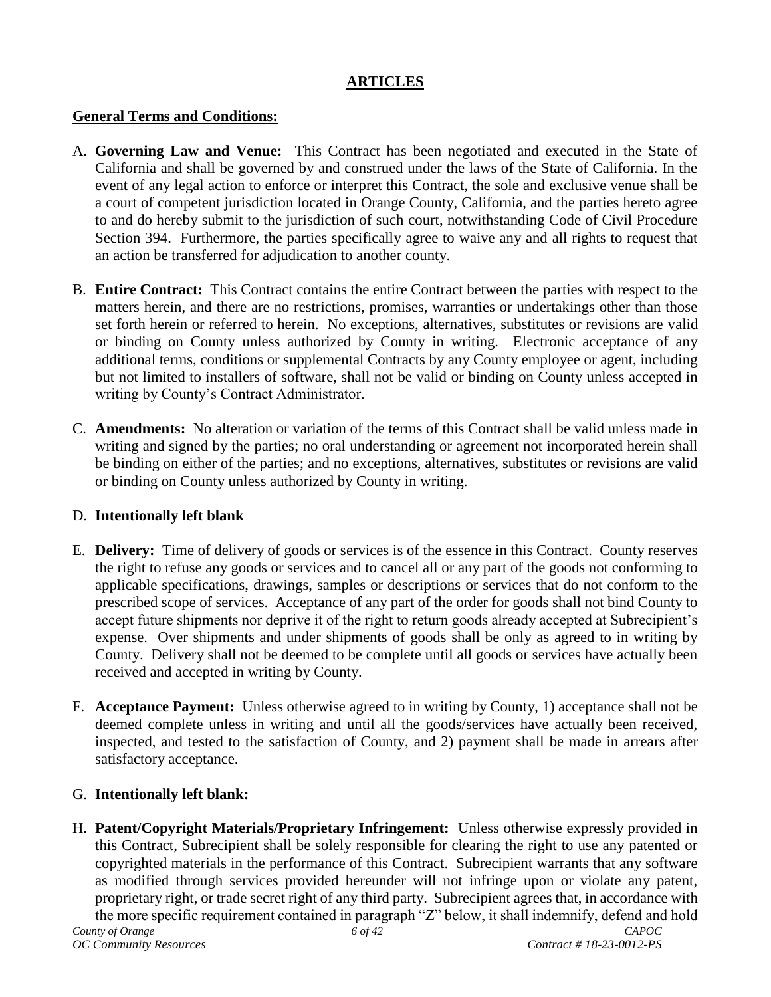## **ARTICLES**

## <span id="page-5-0"></span>**General Terms and Conditions:**

- <span id="page-5-1"></span>A. **Governing Law and Venue:** This Contract has been negotiated and executed in the State of California and shall be governed by and construed under the laws of the State of California. In the event of any legal action to enforce or interpret this Contract, the sole and exclusive venue shall be a court of competent jurisdiction located in Orange County, California, and the parties hereto agree to and do hereby submit to the jurisdiction of such court, notwithstanding Code of Civil Procedure Section 394. Furthermore, the parties specifically agree to waive any and all rights to request that an action be transferred for adjudication to another county.
- <span id="page-5-2"></span>B. **Entire Contract:** This Contract contains the entire Contract between the parties with respect to the matters herein, and there are no restrictions, promises, warranties or undertakings other than those set forth herein or referred to herein. No exceptions, alternatives, substitutes or revisions are valid or binding on County unless authorized by County in writing. Electronic acceptance of any additional terms, conditions or supplemental Contracts by any County employee or agent, including but not limited to installers of software, shall not be valid or binding on County unless accepted in writing by County's Contract Administrator.
- <span id="page-5-3"></span>C. **Amendments:** No alteration or variation of the terms of this Contract shall be valid unless made in writing and signed by the parties; no oral understanding or agreement not incorporated herein shall be binding on either of the parties; and no exceptions, alternatives, substitutes or revisions are valid or binding on County unless authorized by County in writing.

## <span id="page-5-4"></span>D. **Intentionally left blank**

- <span id="page-5-5"></span>E. **Delivery:** Time of delivery of goods or services is of the essence in this Contract. County reserves the right to refuse any goods or services and to cancel all or any part of the goods not conforming to applicable specifications, drawings, samples or descriptions or services that do not conform to the prescribed scope of services. Acceptance of any part of the order for goods shall not bind County to accept future shipments nor deprive it of the right to return goods already accepted at Subrecipient's expense. Over shipments and under shipments of goods shall be only as agreed to in writing by County. Delivery shall not be deemed to be complete until all goods or services have actually been received and accepted in writing by County.
- <span id="page-5-6"></span>F. **Acceptance Payment:** Unless otherwise agreed to in writing by County, 1) acceptance shall not be deemed complete unless in writing and until all the goods/services have actually been received, inspected, and tested to the satisfaction of County, and 2) payment shall be made in arrears after satisfactory acceptance.

# <span id="page-5-7"></span>G. **Intentionally left blank:**

<span id="page-5-8"></span>H. **Patent/Copyright Materials/Proprietary Infringement:** Unless otherwise expressly provided in this Contract, Subrecipient shall be solely responsible for clearing the right to use any patented or copyrighted materials in the performance of this Contract. Subrecipient warrants that any software as modified through services provided hereunder will not infringe upon or violate any patent, proprietary right, or trade secret right of any third party. Subrecipient agrees that, in accordance with the more specific requirement contained in paragraph "Z" below, it shall indemnify, defend and hold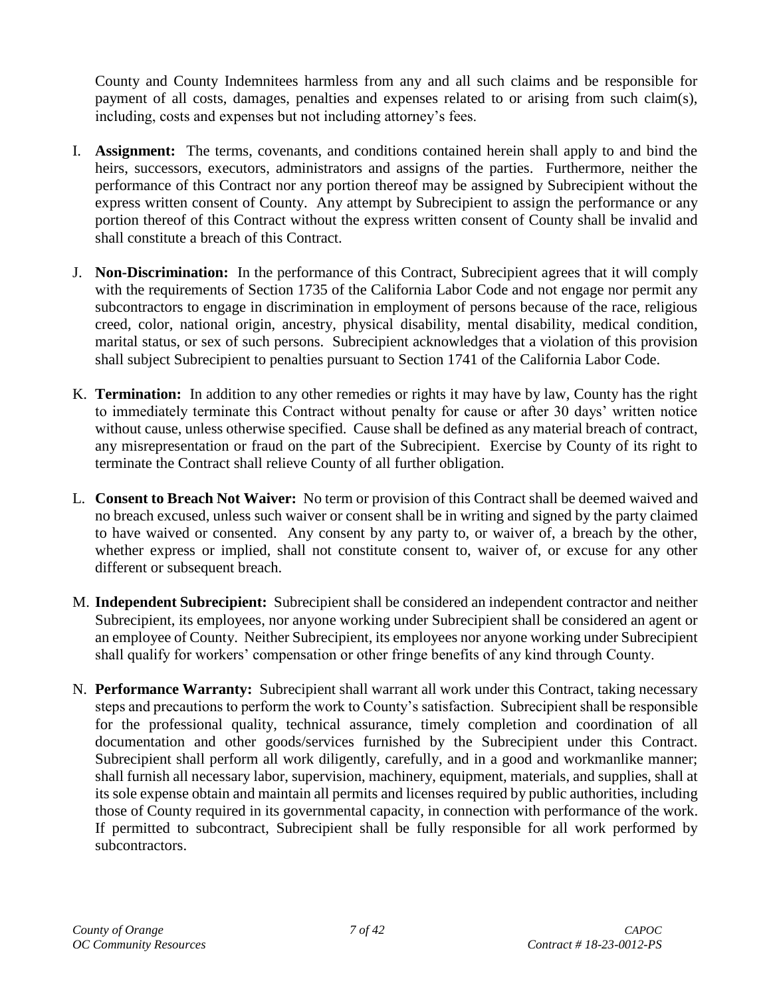County and County Indemnitees harmless from any and all such claims and be responsible for payment of all costs, damages, penalties and expenses related to or arising from such claim(s), including, costs and expenses but not including attorney's fees.

- <span id="page-6-0"></span>I. **Assignment:** The terms, covenants, and conditions contained herein shall apply to and bind the heirs, successors, executors, administrators and assigns of the parties. Furthermore, neither the performance of this Contract nor any portion thereof may be assigned by Subrecipient without the express written consent of County. Any attempt by Subrecipient to assign the performance or any portion thereof of this Contract without the express written consent of County shall be invalid and shall constitute a breach of this Contract.
- <span id="page-6-1"></span>J. **Non-Discrimination:** In the performance of this Contract, Subrecipient agrees that it will comply with the requirements of Section 1735 of the California Labor Code and not engage nor permit any subcontractors to engage in discrimination in employment of persons because of the race, religious creed, color, national origin, ancestry, physical disability, mental disability, medical condition, marital status, or sex of such persons. Subrecipient acknowledges that a violation of this provision shall subject Subrecipient to penalties pursuant to Section 1741 of the California Labor Code.
- <span id="page-6-2"></span>K. **Termination:** In addition to any other remedies or rights it may have by law, County has the right to immediately terminate this Contract without penalty for cause or after 30 days' written notice without cause, unless otherwise specified. Cause shall be defined as any material breach of contract, any misrepresentation or fraud on the part of the Subrecipient. Exercise by County of its right to terminate the Contract shall relieve County of all further obligation.
- <span id="page-6-3"></span>L. **Consent to Breach Not Waiver:** No term or provision of this Contract shall be deemed waived and no breach excused, unless such waiver or consent shall be in writing and signed by the party claimed to have waived or consented. Any consent by any party to, or waiver of, a breach by the other, whether express or implied, shall not constitute consent to, waiver of, or excuse for any other different or subsequent breach.
- <span id="page-6-4"></span>M. **Independent Subrecipient:** Subrecipient shall be considered an independent contractor and neither Subrecipient, its employees, nor anyone working under Subrecipient shall be considered an agent or an employee of County. Neither Subrecipient, its employees nor anyone working under Subrecipient shall qualify for workers' compensation or other fringe benefits of any kind through County.
- <span id="page-6-5"></span>N. **Performance Warranty:** Subrecipient shall warrant all work under this Contract, taking necessary steps and precautions to perform the work to County's satisfaction. Subrecipient shall be responsible for the professional quality, technical assurance, timely completion and coordination of all documentation and other goods/services furnished by the Subrecipient under this Contract. Subrecipient shall perform all work diligently, carefully, and in a good and workmanlike manner; shall furnish all necessary labor, supervision, machinery, equipment, materials, and supplies, shall at its sole expense obtain and maintain all permits and licenses required by public authorities, including those of County required in its governmental capacity, in connection with performance of the work. If permitted to subcontract, Subrecipient shall be fully responsible for all work performed by subcontractors.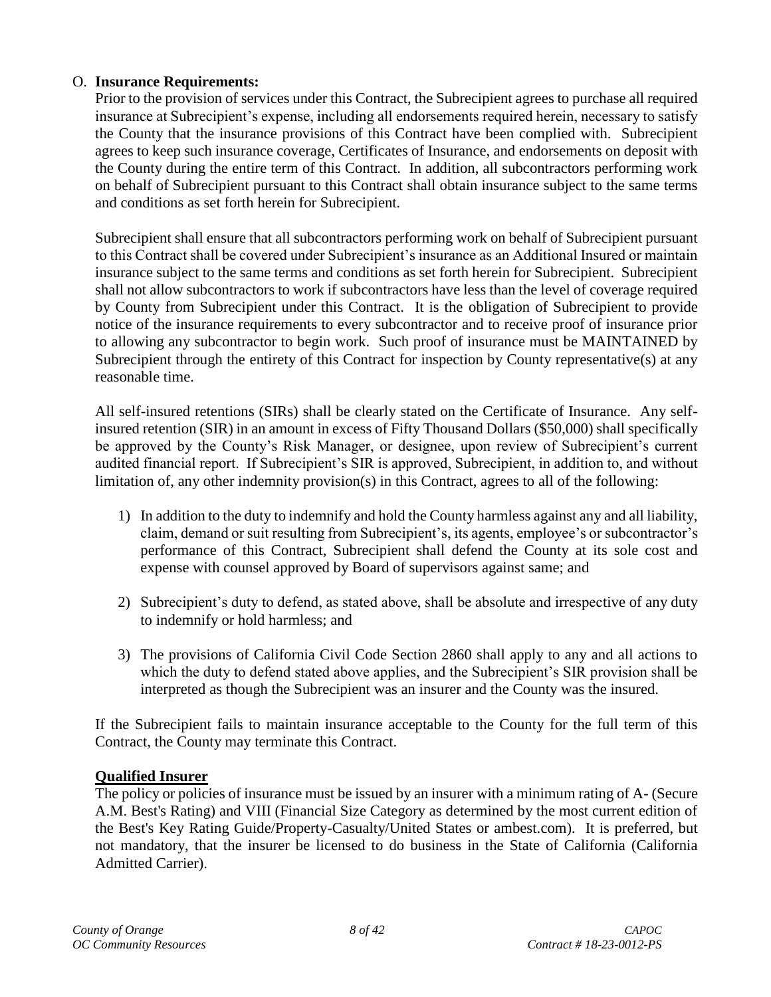## <span id="page-7-0"></span>O. **Insurance Requirements:**

Prior to the provision of services under this Contract, the Subrecipient agrees to purchase all required insurance at Subrecipient's expense, including all endorsements required herein, necessary to satisfy the County that the insurance provisions of this Contract have been complied with. Subrecipient agrees to keep such insurance coverage, Certificates of Insurance, and endorsements on deposit with the County during the entire term of this Contract. In addition, all subcontractors performing work on behalf of Subrecipient pursuant to this Contract shall obtain insurance subject to the same terms and conditions as set forth herein for Subrecipient.

Subrecipient shall ensure that all subcontractors performing work on behalf of Subrecipient pursuant to this Contract shall be covered under Subrecipient's insurance as an Additional Insured or maintain insurance subject to the same terms and conditions as set forth herein for Subrecipient. Subrecipient shall not allow subcontractors to work if subcontractors have less than the level of coverage required by County from Subrecipient under this Contract. It is the obligation of Subrecipient to provide notice of the insurance requirements to every subcontractor and to receive proof of insurance prior to allowing any subcontractor to begin work. Such proof of insurance must be MAINTAINED by Subrecipient through the entirety of this Contract for inspection by County representative(s) at any reasonable time.

All self-insured retentions (SIRs) shall be clearly stated on the Certificate of Insurance. Any selfinsured retention (SIR) in an amount in excess of Fifty Thousand Dollars (\$50,000) shall specifically be approved by the County's Risk Manager, or designee, upon review of Subrecipient's current audited financial report. If Subrecipient's SIR is approved, Subrecipient, in addition to, and without limitation of, any other indemnity provision(s) in this Contract, agrees to all of the following:

- 1) In addition to the duty to indemnify and hold the County harmless against any and all liability, claim, demand or suit resulting from Subrecipient's, its agents, employee's or subcontractor's performance of this Contract, Subrecipient shall defend the County at its sole cost and expense with counsel approved by Board of supervisors against same; and
- 2) Subrecipient's duty to defend, as stated above, shall be absolute and irrespective of any duty to indemnify or hold harmless; and
- 3) The provisions of California Civil Code Section 2860 shall apply to any and all actions to which the duty to defend stated above applies, and the Subrecipient's SIR provision shall be interpreted as though the Subrecipient was an insurer and the County was the insured.

If the Subrecipient fails to maintain insurance acceptable to the County for the full term of this Contract, the County may terminate this Contract.

## **Qualified Insurer**

The policy or policies of insurance must be issued by an insurer with a minimum rating of A- (Secure A.M. Best's Rating) and VIII (Financial Size Category as determined by the most current edition of the Best's Key Rating Guide/Property-Casualty/United States or ambest.com). It is preferred, but not mandatory, that the insurer be licensed to do business in the State of California (California Admitted Carrier).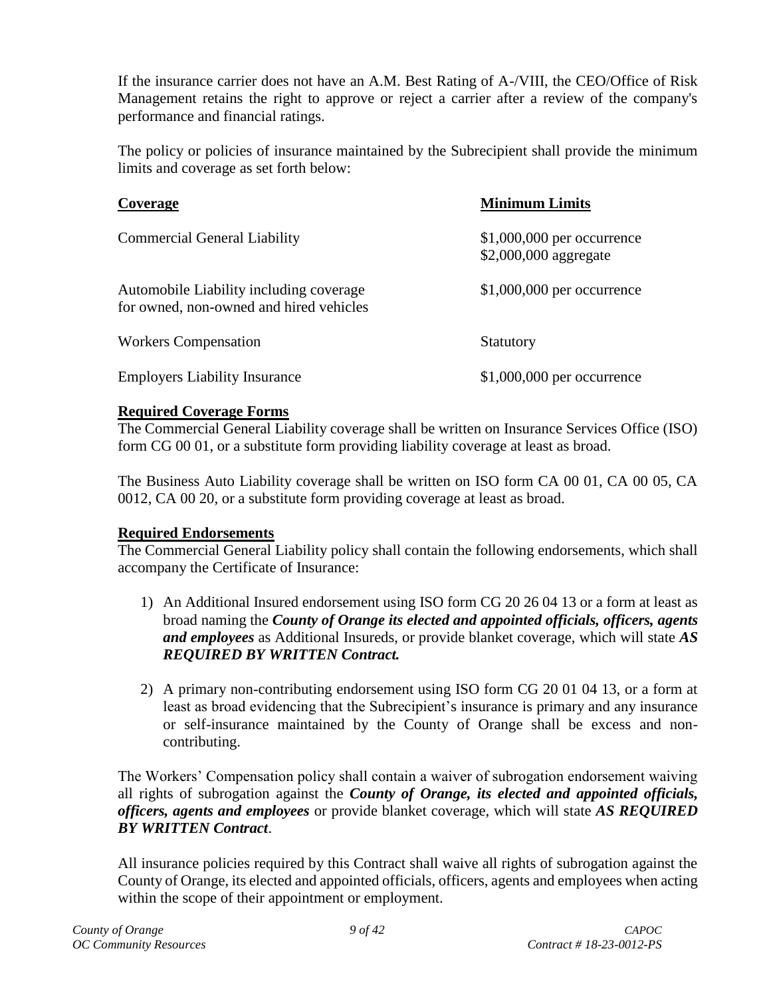If the insurance carrier does not have an A.M. Best Rating of A-/VIII, the CEO/Office of Risk Management retains the right to approve or reject a carrier after a review of the company's performance and financial ratings.

The policy or policies of insurance maintained by the Subrecipient shall provide the minimum limits and coverage as set forth below:

| Coverage                                                                           | <b>Minimum Limits</b>                                |
|------------------------------------------------------------------------------------|------------------------------------------------------|
| <b>Commercial General Liability</b>                                                | $$1,000,000$ per occurrence<br>\$2,000,000 aggregate |
| Automobile Liability including coverage<br>for owned, non-owned and hired vehicles | $$1,000,000$ per occurrence                          |
| <b>Workers Compensation</b>                                                        | Statutory                                            |
| <b>Employers Liability Insurance</b>                                               | $$1,000,000$ per occurrence                          |

## **Required Coverage Forms**

The Commercial General Liability coverage shall be written on Insurance Services Office (ISO) form CG 00 01, or a substitute form providing liability coverage at least as broad.

The Business Auto Liability coverage shall be written on ISO form CA 00 01, CA 00 05, CA 0012, CA 00 20, or a substitute form providing coverage at least as broad.

# **Required Endorsements**

The Commercial General Liability policy shall contain the following endorsements, which shall accompany the Certificate of Insurance:

- 1) An Additional Insured endorsement using ISO form CG 20 26 04 13 or a form at least as broad naming the *County of Orange its elected and appointed officials, officers, agents and employees* as Additional Insureds, or provide blanket coverage, which will state *AS REQUIRED BY WRITTEN Contract.*
- 2) A primary non-contributing endorsement using ISO form CG 20 01 04 13, or a form at least as broad evidencing that the Subrecipient's insurance is primary and any insurance or self-insurance maintained by the County of Orange shall be excess and noncontributing.

The Workers' Compensation policy shall contain a waiver of subrogation endorsement waiving all rights of subrogation against the *County of Orange, its elected and appointed officials, officers, agents and employees* or provide blanket coverage, which will state *AS REQUIRED BY WRITTEN Contract*.

All insurance policies required by this Contract shall waive all rights of subrogation against the County of Orange, its elected and appointed officials, officers, agents and employees when acting within the scope of their appointment or employment.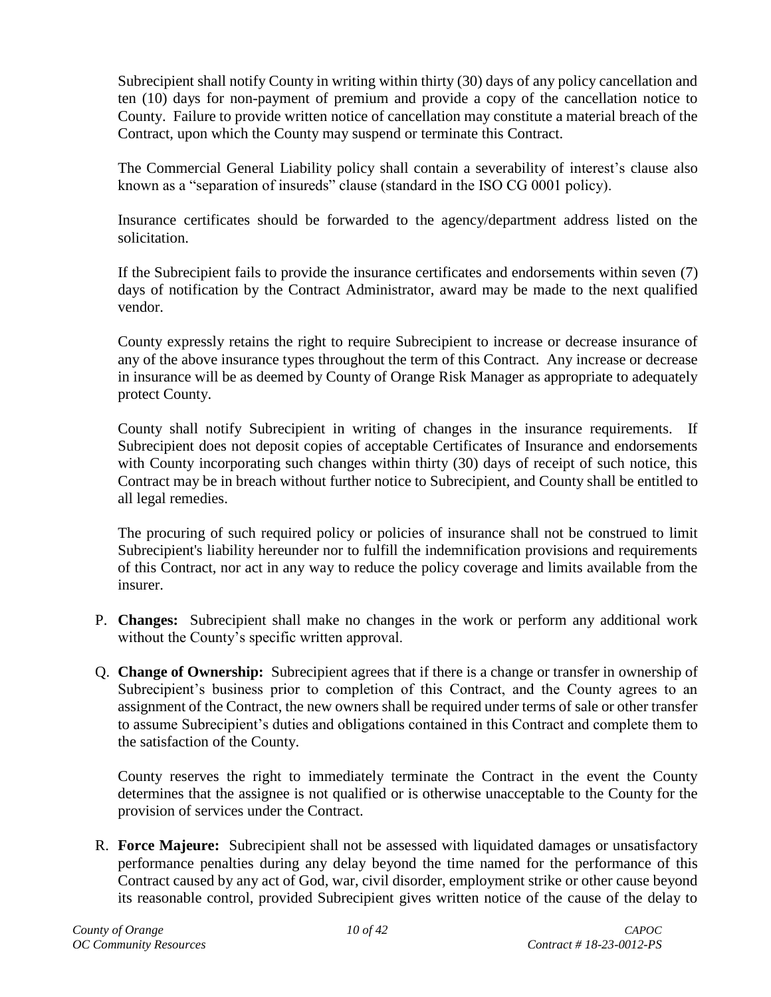Subrecipient shall notify County in writing within thirty (30) days of any policy cancellation and ten (10) days for non-payment of premium and provide a copy of the cancellation notice to County. Failure to provide written notice of cancellation may constitute a material breach of the Contract, upon which the County may suspend or terminate this Contract.

The Commercial General Liability policy shall contain a severability of interest's clause also known as a "separation of insureds" clause (standard in the ISO CG 0001 policy).

Insurance certificates should be forwarded to the agency/department address listed on the solicitation.

If the Subrecipient fails to provide the insurance certificates and endorsements within seven (7) days of notification by the Contract Administrator, award may be made to the next qualified vendor.

County expressly retains the right to require Subrecipient to increase or decrease insurance of any of the above insurance types throughout the term of this Contract. Any increase or decrease in insurance will be as deemed by County of Orange Risk Manager as appropriate to adequately protect County.

County shall notify Subrecipient in writing of changes in the insurance requirements. If Subrecipient does not deposit copies of acceptable Certificates of Insurance and endorsements with County incorporating such changes within thirty (30) days of receipt of such notice, this Contract may be in breach without further notice to Subrecipient, and County shall be entitled to all legal remedies.

The procuring of such required policy or policies of insurance shall not be construed to limit Subrecipient's liability hereunder nor to fulfill the indemnification provisions and requirements of this Contract, nor act in any way to reduce the policy coverage and limits available from the insurer.

- <span id="page-9-0"></span>P. **Changes:** Subrecipient shall make no changes in the work or perform any additional work without the County's specific written approval.
- <span id="page-9-1"></span>Q. **Change of Ownership:** Subrecipient agrees that if there is a change or transfer in ownership of Subrecipient's business prior to completion of this Contract, and the County agrees to an assignment of the Contract, the new owners shall be required under terms of sale or other transfer to assume Subrecipient's duties and obligations contained in this Contract and complete them to the satisfaction of the County.

County reserves the right to immediately terminate the Contract in the event the County determines that the assignee is not qualified or is otherwise unacceptable to the County for the provision of services under the Contract.

<span id="page-9-2"></span>R. **Force Majeure:** Subrecipient shall not be assessed with liquidated damages or unsatisfactory performance penalties during any delay beyond the time named for the performance of this Contract caused by any act of God, war, civil disorder, employment strike or other cause beyond its reasonable control, provided Subrecipient gives written notice of the cause of the delay to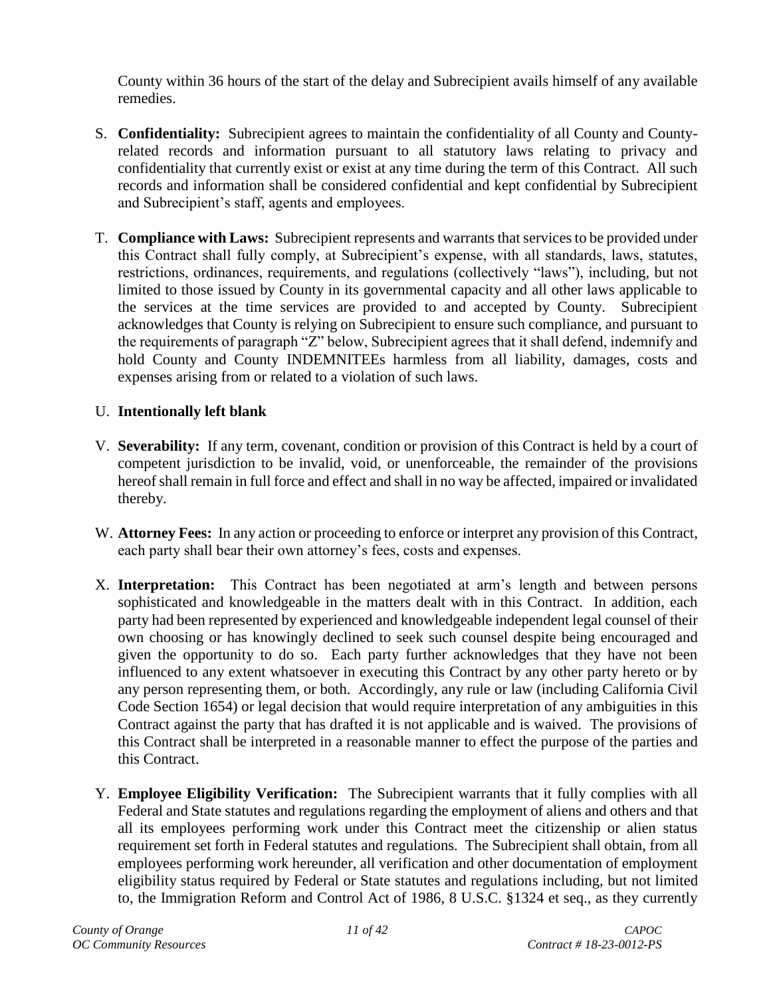County within 36 hours of the start of the delay and Subrecipient avails himself of any available remedies.

- <span id="page-10-0"></span>S. **Confidentiality:** Subrecipient agrees to maintain the confidentiality of all County and Countyrelated records and information pursuant to all statutory laws relating to privacy and confidentiality that currently exist or exist at any time during the term of this Contract. All such records and information shall be considered confidential and kept confidential by Subrecipient and Subrecipient's staff, agents and employees.
- <span id="page-10-1"></span>T. **Compliance with Laws:** Subrecipient represents and warrants that services to be provided under this Contract shall fully comply, at Subrecipient's expense, with all standards, laws, statutes, restrictions, ordinances, requirements, and regulations (collectively "laws"), including, but not limited to those issued by County in its governmental capacity and all other laws applicable to the services at the time services are provided to and accepted by County. Subrecipient acknowledges that County is relying on Subrecipient to ensure such compliance, and pursuant to the requirements of paragraph "Z" below, Subrecipient agrees that it shall defend, indemnify and hold County and County INDEMNITEEs harmless from all liability, damages, costs and expenses arising from or related to a violation of such laws.

## <span id="page-10-2"></span>U. **Intentionally left blank**

- <span id="page-10-3"></span>V. **Severability:** If any term, covenant, condition or provision of this Contract is held by a court of competent jurisdiction to be invalid, void, or unenforceable, the remainder of the provisions hereof shall remain in full force and effect and shall in no way be affected, impaired or invalidated thereby.
- <span id="page-10-4"></span>W. **Attorney Fees:** In any action or proceeding to enforce or interpret any provision of this Contract, each party shall bear their own attorney's fees, costs and expenses.
- <span id="page-10-5"></span>X. **Interpretation:** This Contract has been negotiated at arm's length and between persons sophisticated and knowledgeable in the matters dealt with in this Contract. In addition, each party had been represented by experienced and knowledgeable independent legal counsel of their own choosing or has knowingly declined to seek such counsel despite being encouraged and given the opportunity to do so. Each party further acknowledges that they have not been influenced to any extent whatsoever in executing this Contract by any other party hereto or by any person representing them, or both. Accordingly, any rule or law (including California Civil Code Section 1654) or legal decision that would require interpretation of any ambiguities in this Contract against the party that has drafted it is not applicable and is waived. The provisions of this Contract shall be interpreted in a reasonable manner to effect the purpose of the parties and this Contract.
- <span id="page-10-6"></span>Y. **Employee Eligibility Verification:** The Subrecipient warrants that it fully complies with all Federal and State statutes and regulations regarding the employment of aliens and others and that all its employees performing work under this Contract meet the citizenship or alien status requirement set forth in Federal statutes and regulations. The Subrecipient shall obtain, from all employees performing work hereunder, all verification and other documentation of employment eligibility status required by Federal or State statutes and regulations including, but not limited to, the Immigration Reform and Control Act of 1986, 8 U.S.C. §1324 et seq., as they currently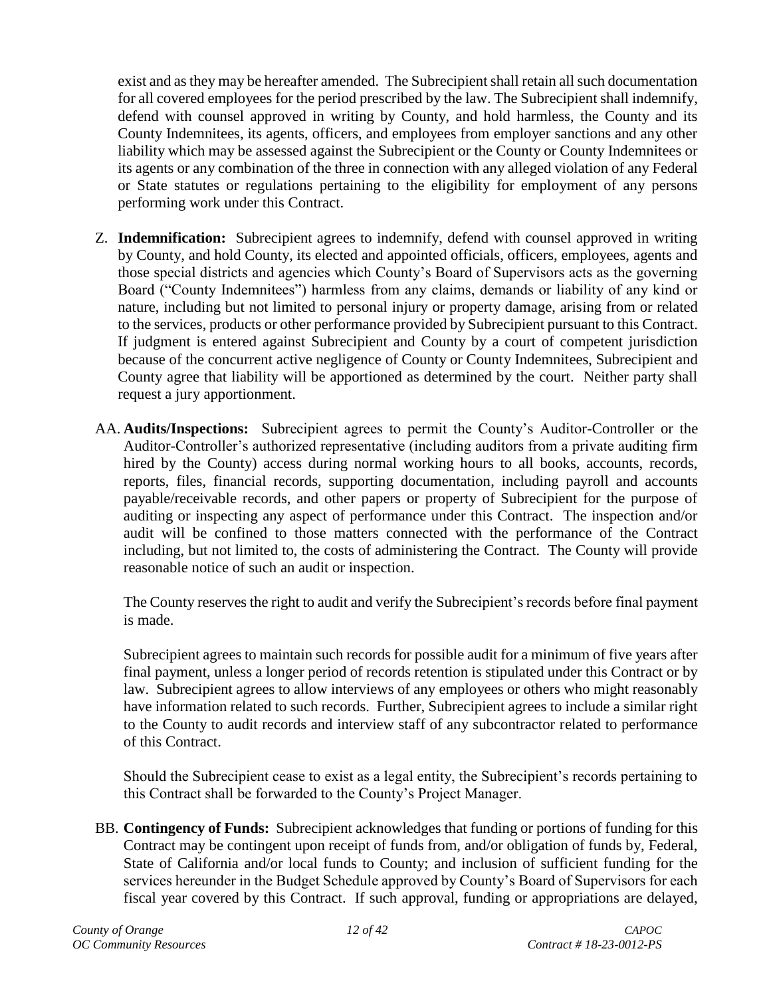exist and as they may be hereafter amended. The Subrecipient shall retain all such documentation for all covered employees for the period prescribed by the law. The Subrecipient shall indemnify, defend with counsel approved in writing by County, and hold harmless, the County and its County Indemnitees, its agents, officers, and employees from employer sanctions and any other liability which may be assessed against the Subrecipient or the County or County Indemnitees or its agents or any combination of the three in connection with any alleged violation of any Federal or State statutes or regulations pertaining to the eligibility for employment of any persons performing work under this Contract.

- <span id="page-11-0"></span>Z. **Indemnification:** Subrecipient agrees to indemnify, defend with counsel approved in writing by County, and hold County, its elected and appointed officials, officers, employees, agents and those special districts and agencies which County's Board of Supervisors acts as the governing Board ("County Indemnitees") harmless from any claims, demands or liability of any kind or nature, including but not limited to personal injury or property damage, arising from or related to the services, products or other performance provided by Subrecipient pursuant to this Contract. If judgment is entered against Subrecipient and County by a court of competent jurisdiction because of the concurrent active negligence of County or County Indemnitees, Subrecipient and County agree that liability will be apportioned as determined by the court. Neither party shall request a jury apportionment.
- <span id="page-11-1"></span>AA. **Audits/Inspections:** Subrecipient agrees to permit the County's Auditor-Controller or the Auditor-Controller's authorized representative (including auditors from a private auditing firm hired by the County) access during normal working hours to all books, accounts, records, reports, files, financial records, supporting documentation, including payroll and accounts payable/receivable records, and other papers or property of Subrecipient for the purpose of auditing or inspecting any aspect of performance under this Contract. The inspection and/or audit will be confined to those matters connected with the performance of the Contract including, but not limited to, the costs of administering the Contract. The County will provide reasonable notice of such an audit or inspection.

The County reserves the right to audit and verify the Subrecipient's records before final payment is made.

Subrecipient agrees to maintain such records for possible audit for a minimum of five years after final payment, unless a longer period of records retention is stipulated under this Contract or by law. Subrecipient agrees to allow interviews of any employees or others who might reasonably have information related to such records. Further, Subrecipient agrees to include a similar right to the County to audit records and interview staff of any subcontractor related to performance of this Contract.

Should the Subrecipient cease to exist as a legal entity, the Subrecipient's records pertaining to this Contract shall be forwarded to the County's Project Manager.

<span id="page-11-2"></span>BB. **Contingency of Funds:** Subrecipient acknowledges that funding or portions of funding for this Contract may be contingent upon receipt of funds from, and/or obligation of funds by, Federal, State of California and/or local funds to County; and inclusion of sufficient funding for the services hereunder in the Budget Schedule approved by County's Board of Supervisors for each fiscal year covered by this Contract. If such approval, funding or appropriations are delayed,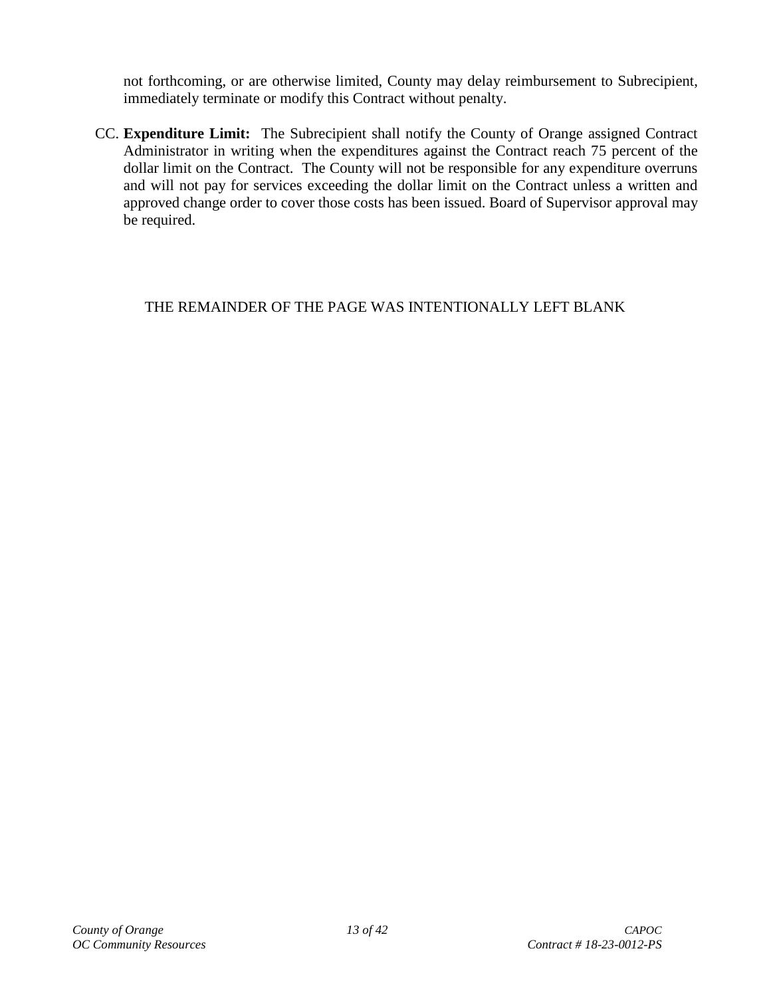not forthcoming, or are otherwise limited, County may delay reimbursement to Subrecipient, immediately terminate or modify this Contract without penalty.

<span id="page-12-0"></span>CC. **Expenditure Limit:** The Subrecipient shall notify the County of Orange assigned Contract Administrator in writing when the expenditures against the Contract reach 75 percent of the dollar limit on the Contract. The County will not be responsible for any expenditure overruns and will not pay for services exceeding the dollar limit on the Contract unless a written and approved change order to cover those costs has been issued. Board of Supervisor approval may be required.

# THE REMAINDER OF THE PAGE WAS INTENTIONALLY LEFT BLANK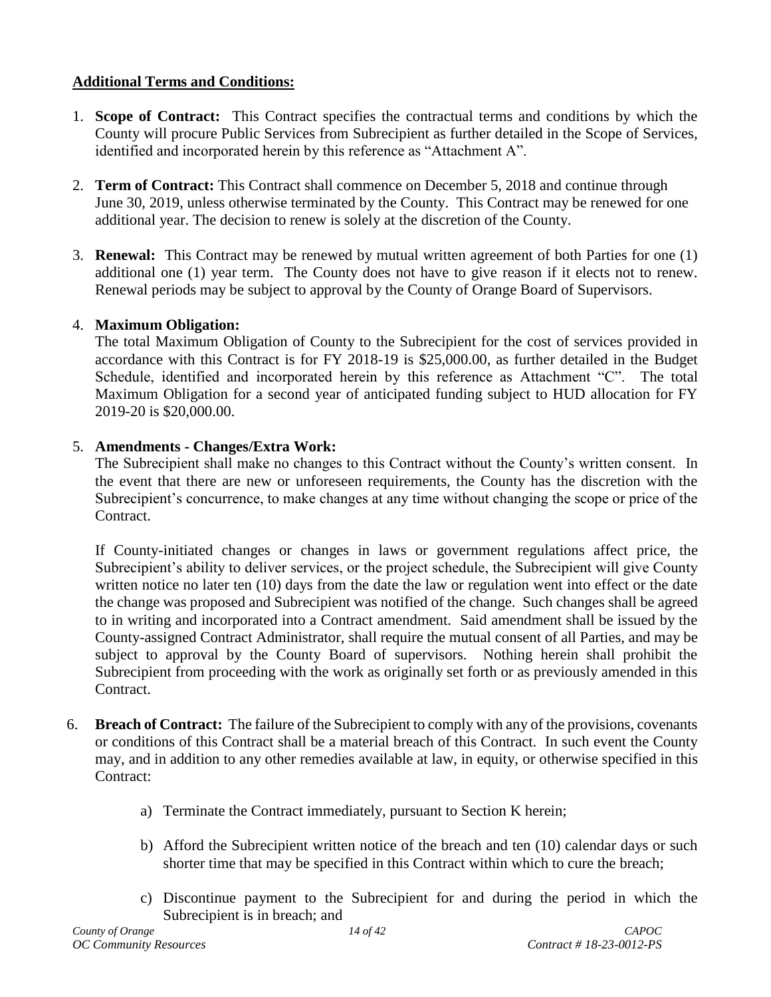## <span id="page-13-0"></span>**Additional Terms and Conditions:**

- <span id="page-13-1"></span>1. **Scope of Contract:** This Contract specifies the contractual terms and conditions by which the County will procure Public Services from Subrecipient as further detailed in the Scope of Services, identified and incorporated herein by this reference as "Attachment A".
- <span id="page-13-2"></span>2. **Term of Contract:** This Contract shall commence on December 5, 2018 and continue through June 30, 2019, unless otherwise terminated by the County. This Contract may be renewed for one additional year. The decision to renew is solely at the discretion of the County.
- <span id="page-13-3"></span>3. **Renewal:** This Contract may be renewed by mutual written agreement of both Parties for one (1) additional one (1) year term. The County does not have to give reason if it elects not to renew. Renewal periods may be subject to approval by the County of Orange Board of Supervisors.

## <span id="page-13-4"></span>4. **Maximum Obligation:**

The total Maximum Obligation of County to the Subrecipient for the cost of services provided in accordance with this Contract is for FY 2018-19 is \$25,000.00, as further detailed in the Budget Schedule, identified and incorporated herein by this reference as Attachment "C". The total Maximum Obligation for a second year of anticipated funding subject to HUD allocation for FY 2019-20 is \$20,000.00.

## <span id="page-13-5"></span>5. **Amendments - Changes/Extra Work:**

The Subrecipient shall make no changes to this Contract without the County's written consent. In the event that there are new or unforeseen requirements, the County has the discretion with the Subrecipient's concurrence, to make changes at any time without changing the scope or price of the Contract.

If County-initiated changes or changes in laws or government regulations affect price, the Subrecipient's ability to deliver services, or the project schedule, the Subrecipient will give County written notice no later ten (10) days from the date the law or regulation went into effect or the date the change was proposed and Subrecipient was notified of the change. Such changes shall be agreed to in writing and incorporated into a Contract amendment. Said amendment shall be issued by the County-assigned Contract Administrator, shall require the mutual consent of all Parties, and may be subject to approval by the County Board of supervisors. Nothing herein shall prohibit the Subrecipient from proceeding with the work as originally set forth or as previously amended in this Contract.

- <span id="page-13-6"></span>6. **Breach of Contract:** The failure of the Subrecipient to comply with any of the provisions, covenants or conditions of this Contract shall be a material breach of this Contract. In such event the County may, and in addition to any other remedies available at law, in equity, or otherwise specified in this Contract:
	- a) Terminate the Contract immediately, pursuant to Section K herein;
	- b) Afford the Subrecipient written notice of the breach and ten (10) calendar days or such shorter time that may be specified in this Contract within which to cure the breach;
	- c) Discontinue payment to the Subrecipient for and during the period in which the Subrecipient is in breach; and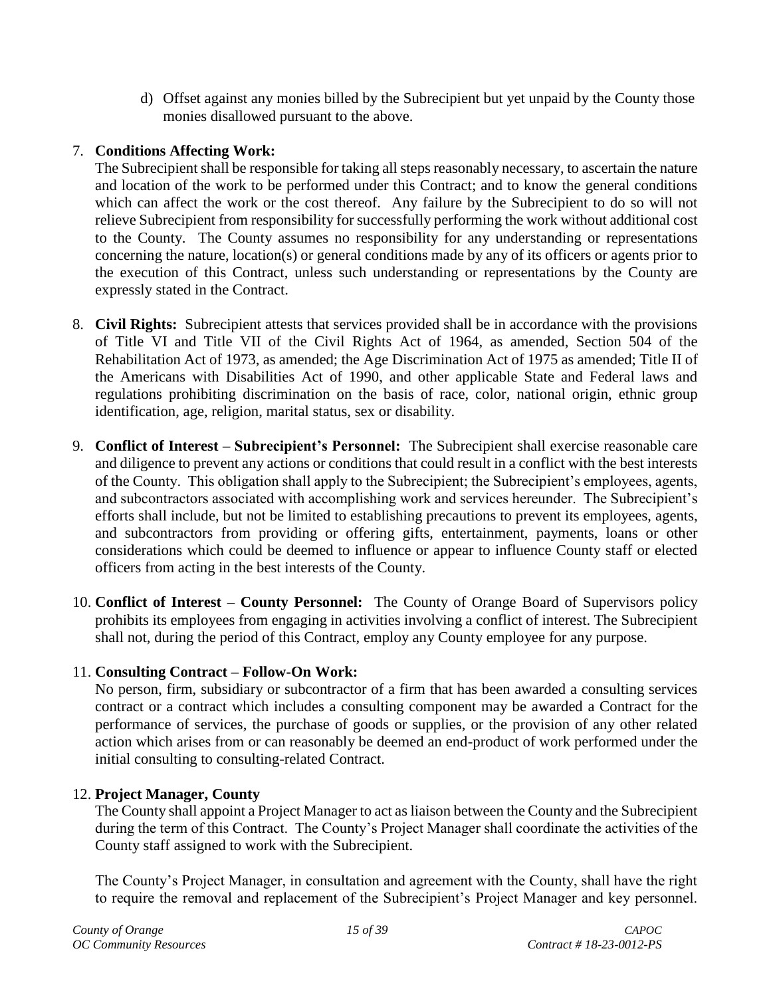d) Offset against any monies billed by the Subrecipient but yet unpaid by the County those monies disallowed pursuant to the above.

## <span id="page-14-0"></span>7. **Conditions Affecting Work:**

The Subrecipient shall be responsible for taking all steps reasonably necessary, to ascertain the nature and location of the work to be performed under this Contract; and to know the general conditions which can affect the work or the cost thereof. Any failure by the Subrecipient to do so will not relieve Subrecipient from responsibility for successfully performing the work without additional cost to the County. The County assumes no responsibility for any understanding or representations concerning the nature, location(s) or general conditions made by any of its officers or agents prior to the execution of this Contract, unless such understanding or representations by the County are expressly stated in the Contract.

- <span id="page-14-1"></span>8. **Civil Rights:** Subrecipient attests that services provided shall be in accordance with the provisions of Title VI and Title VII of the Civil Rights Act of 1964, as amended, Section 504 of the Rehabilitation Act of 1973, as amended; the Age Discrimination Act of 1975 as amended; Title II of the Americans with Disabilities Act of 1990, and other applicable State and Federal laws and regulations prohibiting discrimination on the basis of race, color, national origin, ethnic group identification, age, religion, marital status, sex or disability.
- <span id="page-14-2"></span>9. **Conflict of Interest – Subrecipient's Personnel:** The Subrecipient shall exercise reasonable care and diligence to prevent any actions or conditions that could result in a conflict with the best interests of the County. This obligation shall apply to the Subrecipient; the Subrecipient's employees, agents, and subcontractors associated with accomplishing work and services hereunder. The Subrecipient's efforts shall include, but not be limited to establishing precautions to prevent its employees, agents, and subcontractors from providing or offering gifts, entertainment, payments, loans or other considerations which could be deemed to influence or appear to influence County staff or elected officers from acting in the best interests of the County.
- <span id="page-14-3"></span>10. **Conflict of Interest – County Personnel:** The County of Orange Board of Supervisors policy prohibits its employees from engaging in activities involving a conflict of interest. The Subrecipient shall not, during the period of this Contract, employ any County employee for any purpose.

## <span id="page-14-4"></span>11. **Consulting Contract – Follow-On Work:**

No person, firm, subsidiary or subcontractor of a firm that has been awarded a consulting services contract or a contract which includes a consulting component may be awarded a Contract for the performance of services, the purchase of goods or supplies, or the provision of any other related action which arises from or can reasonably be deemed an end-product of work performed under the initial consulting to consulting-related Contract.

## <span id="page-14-5"></span>12. **Project Manager, County**

The County shall appoint a Project Manager to act as liaison between the County and the Subrecipient during the term of this Contract. The County's Project Manager shall coordinate the activities of the County staff assigned to work with the Subrecipient.

The County's Project Manager, in consultation and agreement with the County, shall have the right to require the removal and replacement of the Subrecipient's Project Manager and key personnel.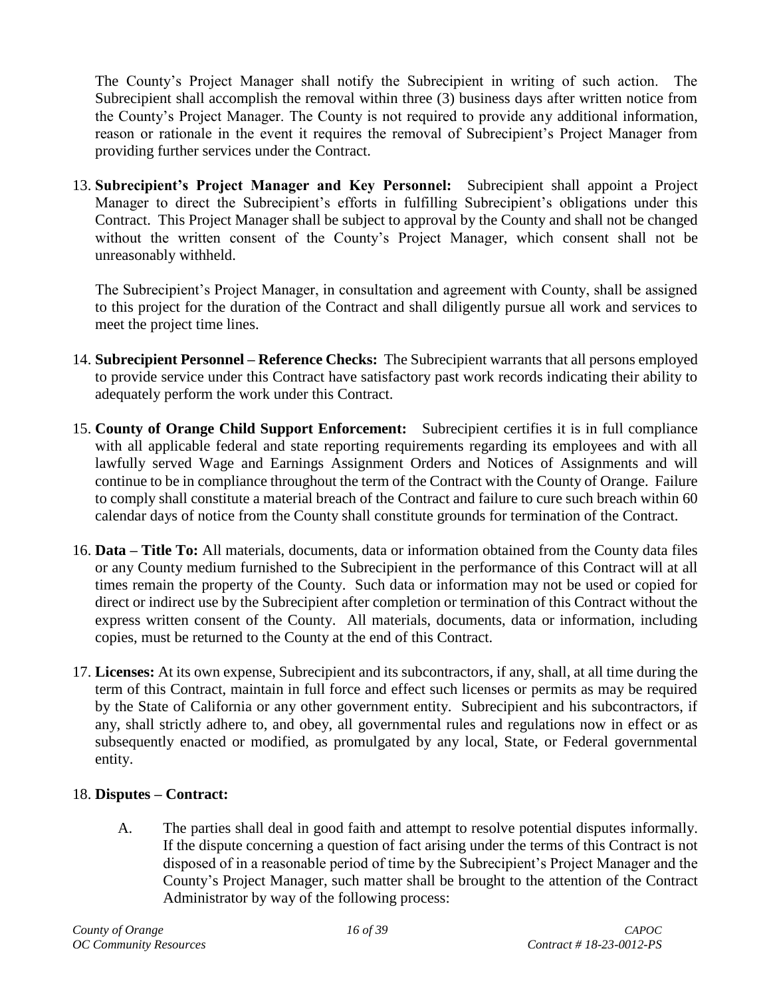The County's Project Manager shall notify the Subrecipient in writing of such action. The Subrecipient shall accomplish the removal within three (3) business days after written notice from the County's Project Manager. The County is not required to provide any additional information, reason or rationale in the event it requires the removal of Subrecipient's Project Manager from providing further services under the Contract.

<span id="page-15-0"></span>13. **Subrecipient's Project Manager and Key Personnel:** Subrecipient shall appoint a Project Manager to direct the Subrecipient's efforts in fulfilling Subrecipient's obligations under this Contract. This Project Manager shall be subject to approval by the County and shall not be changed without the written consent of the County's Project Manager, which consent shall not be unreasonably withheld.

The Subrecipient's Project Manager, in consultation and agreement with County, shall be assigned to this project for the duration of the Contract and shall diligently pursue all work and services to meet the project time lines.

- <span id="page-15-1"></span>14. **Subrecipient Personnel – Reference Checks:** The Subrecipient warrants that all persons employed to provide service under this Contract have satisfactory past work records indicating their ability to adequately perform the work under this Contract.
- <span id="page-15-2"></span>15. **County of Orange Child Support Enforcement:** Subrecipient certifies it is in full compliance with all applicable federal and state reporting requirements regarding its employees and with all lawfully served Wage and Earnings Assignment Orders and Notices of Assignments and will continue to be in compliance throughout the term of the Contract with the County of Orange. Failure to comply shall constitute a material breach of the Contract and failure to cure such breach within 60 calendar days of notice from the County shall constitute grounds for termination of the Contract.
- <span id="page-15-3"></span>16. **Data – Title To:** All materials, documents, data or information obtained from the County data files or any County medium furnished to the Subrecipient in the performance of this Contract will at all times remain the property of the County. Such data or information may not be used or copied for direct or indirect use by the Subrecipient after completion or termination of this Contract without the express written consent of the County. All materials, documents, data or information, including copies, must be returned to the County at the end of this Contract.
- <span id="page-15-4"></span>17. **Licenses:** At its own expense, Subrecipient and its subcontractors, if any, shall, at all time during the term of this Contract, maintain in full force and effect such licenses or permits as may be required by the State of California or any other government entity. Subrecipient and his subcontractors, if any, shall strictly adhere to, and obey, all governmental rules and regulations now in effect or as subsequently enacted or modified, as promulgated by any local, State, or Federal governmental entity.

## <span id="page-15-5"></span>18. **Disputes – Contract:**

A. The parties shall deal in good faith and attempt to resolve potential disputes informally. If the dispute concerning a question of fact arising under the terms of this Contract is not disposed of in a reasonable period of time by the Subrecipient's Project Manager and the County's Project Manager, such matter shall be brought to the attention of the Contract Administrator by way of the following process: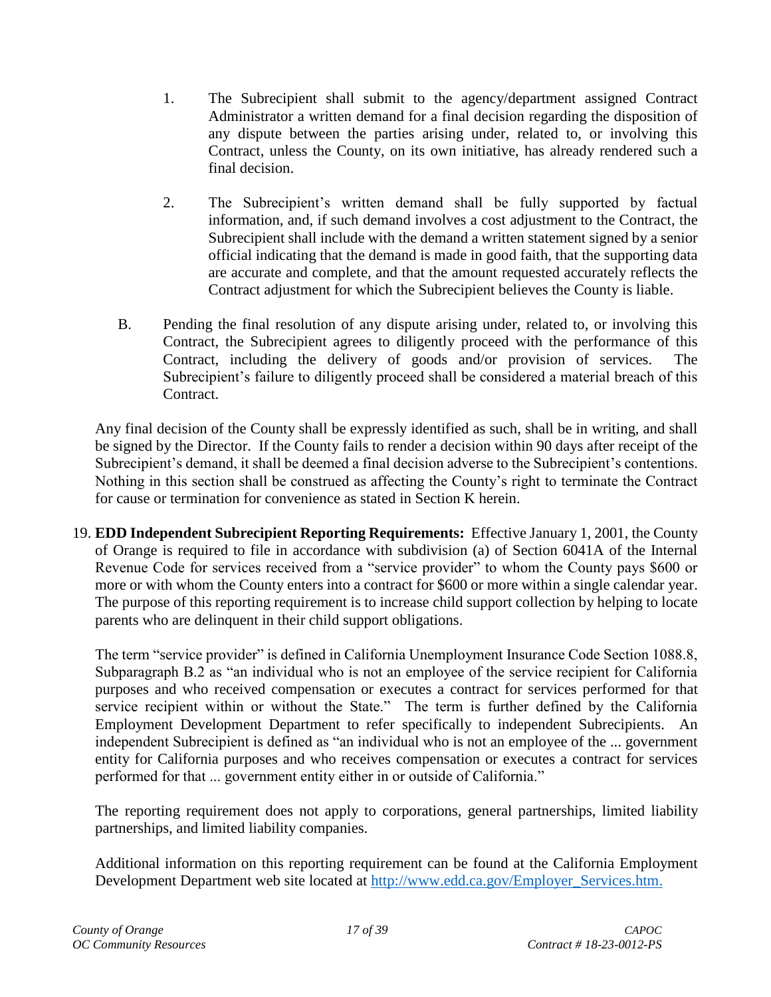- 1. The Subrecipient shall submit to the agency/department assigned Contract Administrator a written demand for a final decision regarding the disposition of any dispute between the parties arising under, related to, or involving this Contract, unless the County, on its own initiative, has already rendered such a final decision.
- 2. The Subrecipient's written demand shall be fully supported by factual information, and, if such demand involves a cost adjustment to the Contract, the Subrecipient shall include with the demand a written statement signed by a senior official indicating that the demand is made in good faith, that the supporting data are accurate and complete, and that the amount requested accurately reflects the Contract adjustment for which the Subrecipient believes the County is liable.
- B. Pending the final resolution of any dispute arising under, related to, or involving this Contract, the Subrecipient agrees to diligently proceed with the performance of this Contract, including the delivery of goods and/or provision of services. The Subrecipient's failure to diligently proceed shall be considered a material breach of this Contract.

Any final decision of the County shall be expressly identified as such, shall be in writing, and shall be signed by the Director. If the County fails to render a decision within 90 days after receipt of the Subrecipient's demand, it shall be deemed a final decision adverse to the Subrecipient's contentions. Nothing in this section shall be construed as affecting the County's right to terminate the Contract for cause or termination for convenience as stated in Section K herein.

<span id="page-16-0"></span>19. **EDD Independent Subrecipient Reporting Requirements:** Effective January 1, 2001, the County of Orange is required to file in accordance with subdivision (a) of Section 6041A of the Internal Revenue Code for services received from a "service provider" to whom the County pays \$600 or more or with whom the County enters into a contract for \$600 or more within a single calendar year. The purpose of this reporting requirement is to increase child support collection by helping to locate parents who are delinquent in their child support obligations.

The term "service provider" is defined in California Unemployment Insurance Code Section 1088.8, Subparagraph B.2 as "an individual who is not an employee of the service recipient for California purposes and who received compensation or executes a contract for services performed for that service recipient within or without the State." The term is further defined by the California Employment Development Department to refer specifically to independent Subrecipients. An independent Subrecipient is defined as "an individual who is not an employee of the ... government entity for California purposes and who receives compensation or executes a contract for services performed for that ... government entity either in or outside of California."

The reporting requirement does not apply to corporations, general partnerships, limited liability partnerships, and limited liability companies.

Additional information on this reporting requirement can be found at the California Employment Development Department web site located at http://www.edd.ca.gov/Employer Services.htm.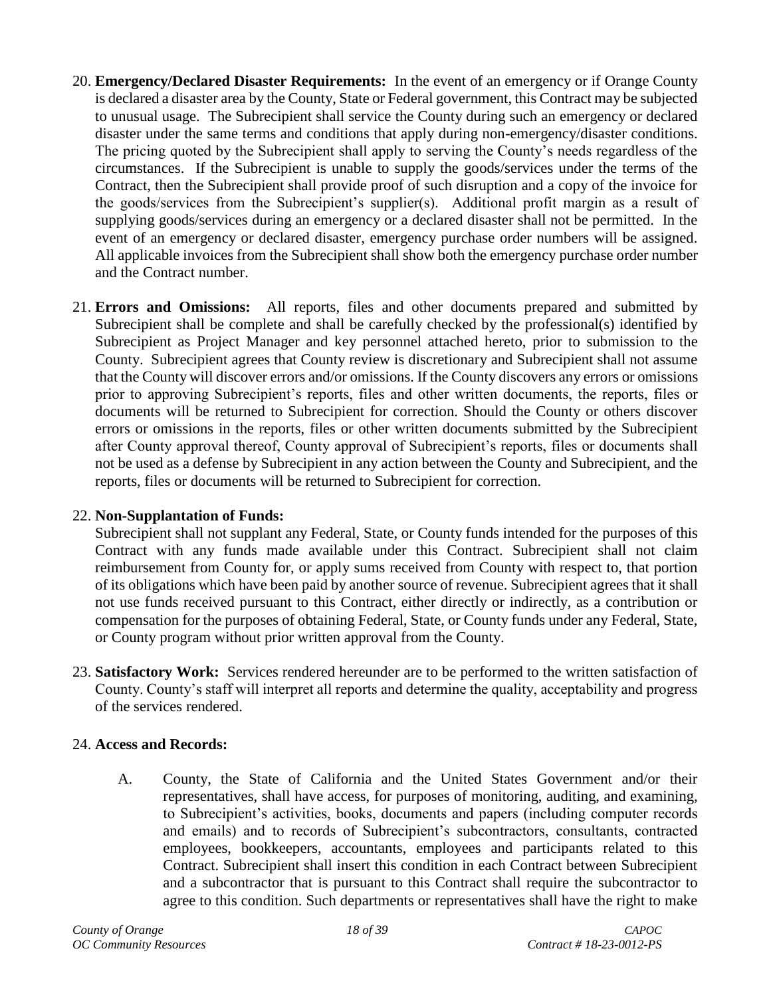- <span id="page-17-0"></span>20. **Emergency/Declared Disaster Requirements:** In the event of an emergency or if Orange County is declared a disaster area by the County, State or Federal government, this Contract may be subjected to unusual usage. The Subrecipient shall service the County during such an emergency or declared disaster under the same terms and conditions that apply during non-emergency/disaster conditions. The pricing quoted by the Subrecipient shall apply to serving the County's needs regardless of the circumstances. If the Subrecipient is unable to supply the goods/services under the terms of the Contract, then the Subrecipient shall provide proof of such disruption and a copy of the invoice for the goods/services from the Subrecipient's supplier(s). Additional profit margin as a result of supplying goods/services during an emergency or a declared disaster shall not be permitted. In the event of an emergency or declared disaster, emergency purchase order numbers will be assigned. All applicable invoices from the Subrecipient shall show both the emergency purchase order number and the Contract number.
- <span id="page-17-1"></span>21. **Errors and Omissions:** All reports, files and other documents prepared and submitted by Subrecipient shall be complete and shall be carefully checked by the professional(s) identified by Subrecipient as Project Manager and key personnel attached hereto, prior to submission to the County. Subrecipient agrees that County review is discretionary and Subrecipient shall not assume that the County will discover errors and/or omissions. If the County discovers any errors or omissions prior to approving Subrecipient's reports, files and other written documents, the reports, files or documents will be returned to Subrecipient for correction. Should the County or others discover errors or omissions in the reports, files or other written documents submitted by the Subrecipient after County approval thereof, County approval of Subrecipient's reports, files or documents shall not be used as a defense by Subrecipient in any action between the County and Subrecipient, and the reports, files or documents will be returned to Subrecipient for correction.

## <span id="page-17-2"></span>22. **Non-Supplantation of Funds:**

Subrecipient shall not supplant any Federal, State, or County funds intended for the purposes of this Contract with any funds made available under this Contract. Subrecipient shall not claim reimbursement from County for, or apply sums received from County with respect to, that portion of its obligations which have been paid by another source of revenue. Subrecipient agrees that it shall not use funds received pursuant to this Contract, either directly or indirectly, as a contribution or compensation for the purposes of obtaining Federal, State, or County funds under any Federal, State, or County program without prior written approval from the County.

<span id="page-17-3"></span>23. **Satisfactory Work:** Services rendered hereunder are to be performed to the written satisfaction of County. County's staff will interpret all reports and determine the quality, acceptability and progress of the services rendered.

## <span id="page-17-4"></span>24. **Access and Records:**

A. County, the State of California and the United States Government and/or their representatives, shall have access, for purposes of monitoring, auditing, and examining, to Subrecipient's activities, books, documents and papers (including computer records and emails) and to records of Subrecipient's subcontractors, consultants, contracted employees, bookkeepers, accountants, employees and participants related to this Contract. Subrecipient shall insert this condition in each Contract between Subrecipient and a subcontractor that is pursuant to this Contract shall require the subcontractor to agree to this condition. Such departments or representatives shall have the right to make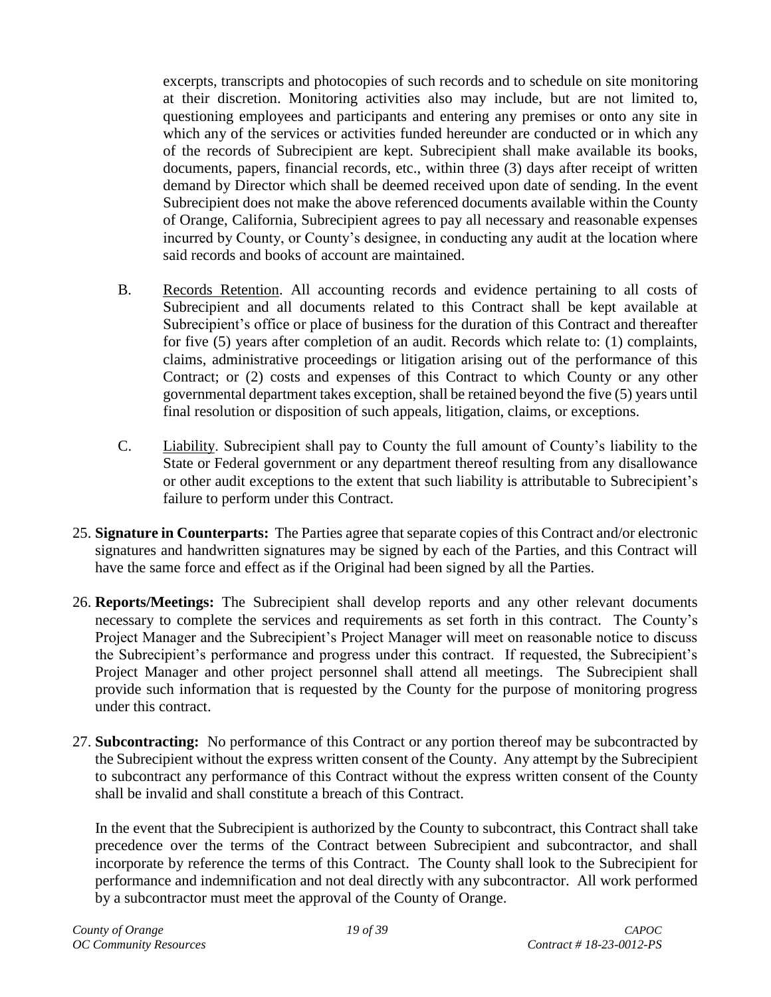excerpts, transcripts and photocopies of such records and to schedule on site monitoring at their discretion. Monitoring activities also may include, but are not limited to, questioning employees and participants and entering any premises or onto any site in which any of the services or activities funded hereunder are conducted or in which any of the records of Subrecipient are kept. Subrecipient shall make available its books, documents, papers, financial records, etc., within three (3) days after receipt of written demand by Director which shall be deemed received upon date of sending. In the event Subrecipient does not make the above referenced documents available within the County of Orange, California, Subrecipient agrees to pay all necessary and reasonable expenses incurred by County, or County's designee, in conducting any audit at the location where said records and books of account are maintained.

- B. Records Retention. All accounting records and evidence pertaining to all costs of Subrecipient and all documents related to this Contract shall be kept available at Subrecipient's office or place of business for the duration of this Contract and thereafter for five (5) years after completion of an audit. Records which relate to: (1) complaints, claims, administrative proceedings or litigation arising out of the performance of this Contract; or (2) costs and expenses of this Contract to which County or any other governmental department takes exception, shall be retained beyond the five (5) years until final resolution or disposition of such appeals, litigation, claims, or exceptions.
- C. Liability. Subrecipient shall pay to County the full amount of County's liability to the State or Federal government or any department thereof resulting from any disallowance or other audit exceptions to the extent that such liability is attributable to Subrecipient's failure to perform under this Contract.
- <span id="page-18-0"></span>25. **Signature in Counterparts:** The Parties agree that separate copies of this Contract and/or electronic signatures and handwritten signatures may be signed by each of the Parties, and this Contract will have the same force and effect as if the Original had been signed by all the Parties.
- <span id="page-18-1"></span>26. **Reports/Meetings:** The Subrecipient shall develop reports and any other relevant documents necessary to complete the services and requirements as set forth in this contract. The County's Project Manager and the Subrecipient's Project Manager will meet on reasonable notice to discuss the Subrecipient's performance and progress under this contract. If requested, the Subrecipient's Project Manager and other project personnel shall attend all meetings. The Subrecipient shall provide such information that is requested by the County for the purpose of monitoring progress under this contract.
- <span id="page-18-2"></span>27. **Subcontracting:** No performance of this Contract or any portion thereof may be subcontracted by the Subrecipient without the express written consent of the County. Any attempt by the Subrecipient to subcontract any performance of this Contract without the express written consent of the County shall be invalid and shall constitute a breach of this Contract.

In the event that the Subrecipient is authorized by the County to subcontract, this Contract shall take precedence over the terms of the Contract between Subrecipient and subcontractor, and shall incorporate by reference the terms of this Contract. The County shall look to the Subrecipient for performance and indemnification and not deal directly with any subcontractor. All work performed by a subcontractor must meet the approval of the County of Orange.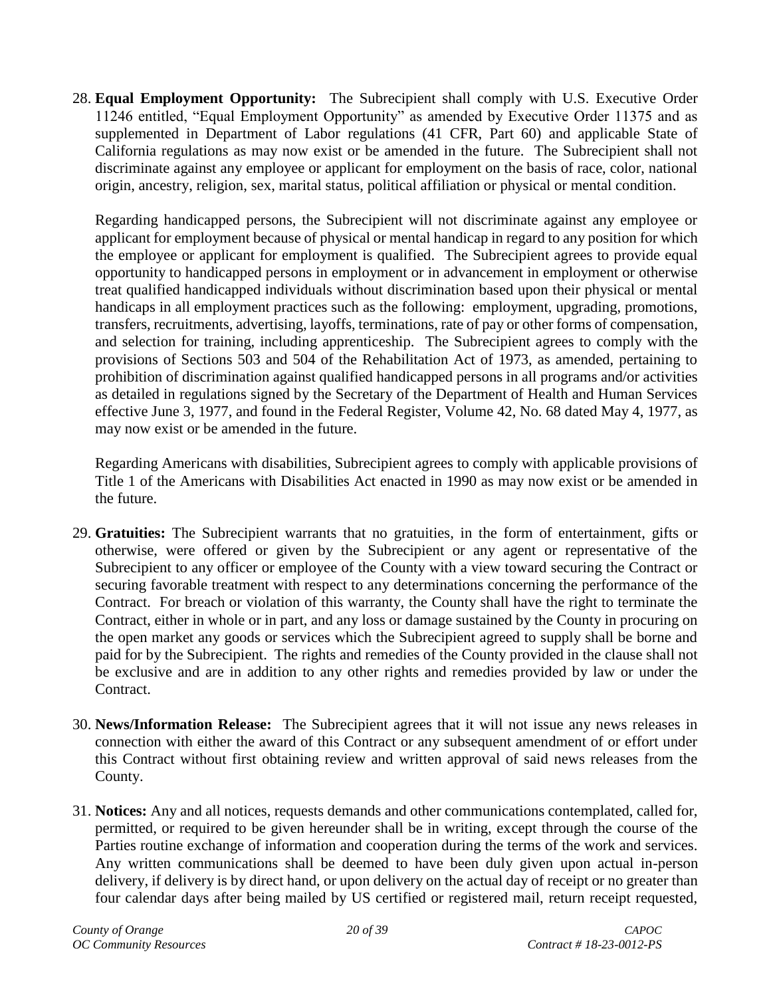<span id="page-19-0"></span>28. **Equal Employment Opportunity:** The Subrecipient shall comply with U.S. Executive Order 11246 entitled, "Equal Employment Opportunity" as amended by Executive Order 11375 and as supplemented in Department of Labor regulations (41 CFR, Part 60) and applicable State of California regulations as may now exist or be amended in the future. The Subrecipient shall not discriminate against any employee or applicant for employment on the basis of race, color, national origin, ancestry, religion, sex, marital status, political affiliation or physical or mental condition.

Regarding handicapped persons, the Subrecipient will not discriminate against any employee or applicant for employment because of physical or mental handicap in regard to any position for which the employee or applicant for employment is qualified. The Subrecipient agrees to provide equal opportunity to handicapped persons in employment or in advancement in employment or otherwise treat qualified handicapped individuals without discrimination based upon their physical or mental handicaps in all employment practices such as the following: employment, upgrading, promotions, transfers, recruitments, advertising, layoffs, terminations, rate of pay or other forms of compensation, and selection for training, including apprenticeship. The Subrecipient agrees to comply with the provisions of Sections 503 and 504 of the Rehabilitation Act of 1973, as amended, pertaining to prohibition of discrimination against qualified handicapped persons in all programs and/or activities as detailed in regulations signed by the Secretary of the Department of Health and Human Services effective June 3, 1977, and found in the Federal Register, Volume 42, No. 68 dated May 4, 1977, as may now exist or be amended in the future.

Regarding Americans with disabilities, Subrecipient agrees to comply with applicable provisions of Title 1 of the Americans with Disabilities Act enacted in 1990 as may now exist or be amended in the future.

- <span id="page-19-1"></span>29. **Gratuities:** The Subrecipient warrants that no gratuities, in the form of entertainment, gifts or otherwise, were offered or given by the Subrecipient or any agent or representative of the Subrecipient to any officer or employee of the County with a view toward securing the Contract or securing favorable treatment with respect to any determinations concerning the performance of the Contract. For breach or violation of this warranty, the County shall have the right to terminate the Contract, either in whole or in part, and any loss or damage sustained by the County in procuring on the open market any goods or services which the Subrecipient agreed to supply shall be borne and paid for by the Subrecipient. The rights and remedies of the County provided in the clause shall not be exclusive and are in addition to any other rights and remedies provided by law or under the Contract.
- <span id="page-19-2"></span>30. **News/Information Release:** The Subrecipient agrees that it will not issue any news releases in connection with either the award of this Contract or any subsequent amendment of or effort under this Contract without first obtaining review and written approval of said news releases from the County.
- <span id="page-19-3"></span>31. **Notices:** Any and all notices, requests demands and other communications contemplated, called for, permitted, or required to be given hereunder shall be in writing, except through the course of the Parties routine exchange of information and cooperation during the terms of the work and services. Any written communications shall be deemed to have been duly given upon actual in-person delivery, if delivery is by direct hand, or upon delivery on the actual day of receipt or no greater than four calendar days after being mailed by US certified or registered mail, return receipt requested,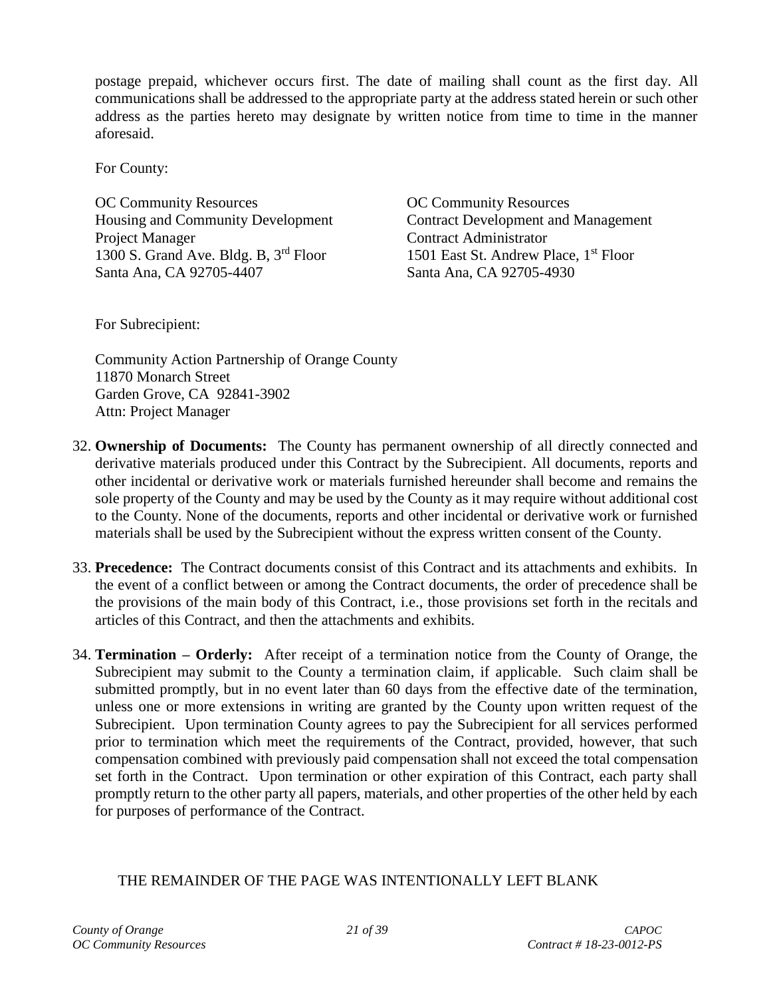postage prepaid, whichever occurs first. The date of mailing shall count as the first day. All communications shall be addressed to the appropriate party at the address stated herein or such other address as the parties hereto may designate by written notice from time to time in the manner aforesaid.

For County:

OC Community Resources **OC Community Resources** Project Manager Contract Administrator 1300 S. Grand Ave. Bldg. B, 3<sup>rd</sup> Floor 1501 East St. Andrew Place, 1<sup>st</sup> Floor Santa Ana, CA 92705-4407 Santa Ana, CA 92705-4930

Housing and Community Development Contract Development and Management

For Subrecipient:

Community Action Partnership of Orange County 11870 Monarch Street Garden Grove, CA 92841-3902 Attn: Project Manager

- <span id="page-20-0"></span>32. **Ownership of Documents:** The County has permanent ownership of all directly connected and derivative materials produced under this Contract by the Subrecipient. All documents, reports and other incidental or derivative work or materials furnished hereunder shall become and remains the sole property of the County and may be used by the County as it may require without additional cost to the County. None of the documents, reports and other incidental or derivative work or furnished materials shall be used by the Subrecipient without the express written consent of the County.
- <span id="page-20-1"></span>33. **Precedence:** The Contract documents consist of this Contract and its attachments and exhibits. In the event of a conflict between or among the Contract documents, the order of precedence shall be the provisions of the main body of this Contract, i.e., those provisions set forth in the recitals and articles of this Contract, and then the attachments and exhibits.
- <span id="page-20-2"></span>34. **Termination – Orderly:** After receipt of a termination notice from the County of Orange, the Subrecipient may submit to the County a termination claim, if applicable. Such claim shall be submitted promptly, but in no event later than 60 days from the effective date of the termination, unless one or more extensions in writing are granted by the County upon written request of the Subrecipient. Upon termination County agrees to pay the Subrecipient for all services performed prior to termination which meet the requirements of the Contract, provided, however, that such compensation combined with previously paid compensation shall not exceed the total compensation set forth in the Contract. Upon termination or other expiration of this Contract, each party shall promptly return to the other party all papers, materials, and other properties of the other held by each for purposes of performance of the Contract.

# THE REMAINDER OF THE PAGE WAS INTENTIONALLY LEFT BLANK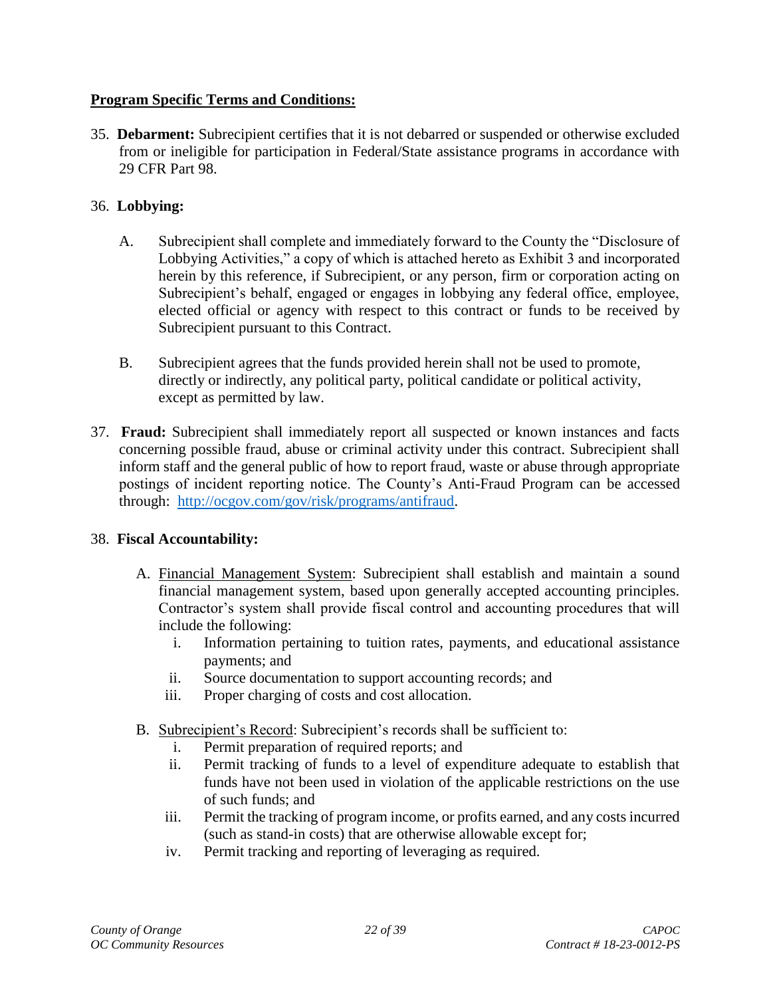## <span id="page-21-0"></span>**Program Specific Terms and Conditions:**

<span id="page-21-1"></span>35. **Debarment:** Subrecipient certifies that it is not debarred or suspended or otherwise excluded from or ineligible for participation in Federal/State assistance programs in accordance with 29 CFR Part 98.

# <span id="page-21-2"></span>36. **Lobbying:**

- A. Subrecipient shall complete and immediately forward to the County the "Disclosure of Lobbying Activities," a copy of which is attached hereto as Exhibit 3 and incorporated herein by this reference, if Subrecipient, or any person, firm or corporation acting on Subrecipient's behalf, engaged or engages in lobbying any federal office, employee, elected official or agency with respect to this contract or funds to be received by Subrecipient pursuant to this Contract.
- B. Subrecipient agrees that the funds provided herein shall not be used to promote, directly or indirectly, any political party, political candidate or political activity, except as permitted by law.
- <span id="page-21-3"></span>37. **Fraud:** Subrecipient shall immediately report all suspected or known instances and facts concerning possible fraud, abuse or criminal activity under this contract. Subrecipient shall inform staff and the general public of how to report fraud, waste or abuse through appropriate postings of incident reporting notice. The County's Anti-Fraud Program can be accessed through: [http://ocgov.com/gov/risk/programs/antifraud.](http://ocgov.com/gov/risk/programs/antifraud)

## <span id="page-21-4"></span>38. **Fiscal Accountability:**

- A. Financial Management System: Subrecipient shall establish and maintain a sound financial management system, based upon generally accepted accounting principles. Contractor's system shall provide fiscal control and accounting procedures that will include the following:
	- i. Information pertaining to tuition rates, payments, and educational assistance payments; and
	- ii. Source documentation to support accounting records; and
	- iii. Proper charging of costs and cost allocation.
- B. Subrecipient's Record: Subrecipient's records shall be sufficient to:
	- i. Permit preparation of required reports; and
	- ii. Permit tracking of funds to a level of expenditure adequate to establish that funds have not been used in violation of the applicable restrictions on the use of such funds; and
	- iii. Permit the tracking of program income, or profits earned, and any costs incurred (such as stand-in costs) that are otherwise allowable except for;
	- iv. Permit tracking and reporting of leveraging as required.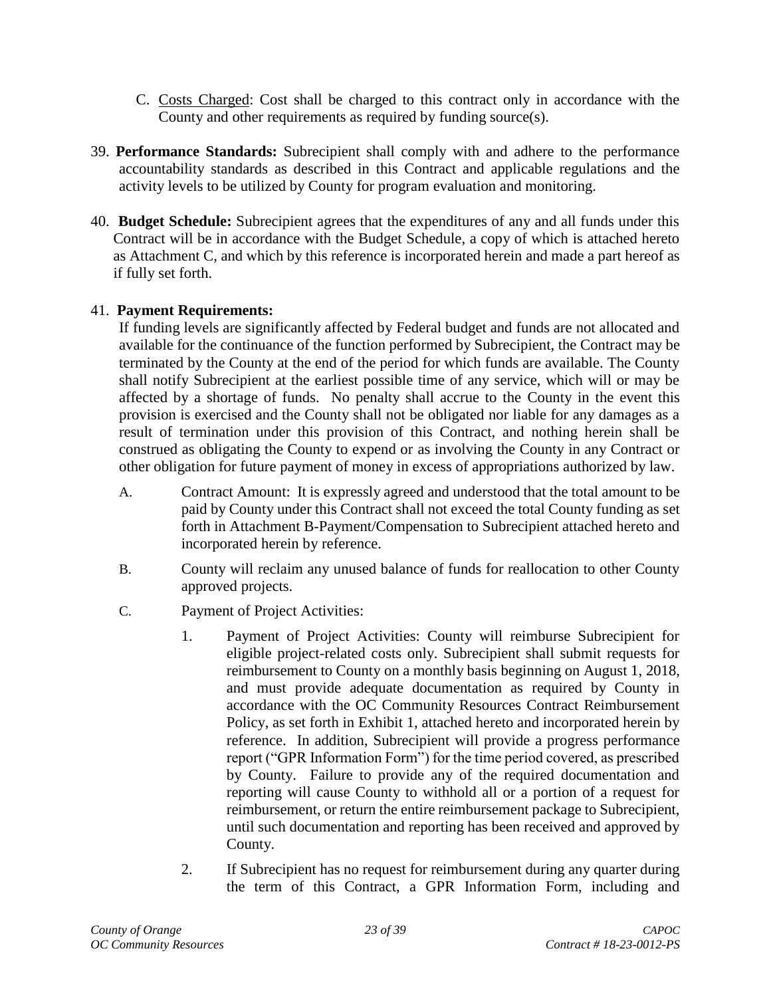- C. Costs Charged: Cost shall be charged to this contract only in accordance with the County and other requirements as required by funding source(s).
- <span id="page-22-0"></span>39. **Performance Standards:** Subrecipient shall comply with and adhere to the performance accountability standards as described in this Contract and applicable regulations and the activity levels to be utilized by County for program evaluation and monitoring.
- <span id="page-22-1"></span>40. **Budget Schedule:** Subrecipient agrees that the expenditures of any and all funds under this Contract will be in accordance with the Budget Schedule, a copy of which is attached hereto as Attachment C, and which by this reference is incorporated herein and made a part hereof as if fully set forth.

## <span id="page-22-2"></span>41. **Payment Requirements:**

If funding levels are significantly affected by Federal budget and funds are not allocated and available for the continuance of the function performed by Subrecipient, the Contract may be terminated by the County at the end of the period for which funds are available. The County shall notify Subrecipient at the earliest possible time of any service, which will or may be affected by a shortage of funds. No penalty shall accrue to the County in the event this provision is exercised and the County shall not be obligated nor liable for any damages as a result of termination under this provision of this Contract, and nothing herein shall be construed as obligating the County to expend or as involving the County in any Contract or other obligation for future payment of money in excess of appropriations authorized by law.

- A. Contract Amount: It is expressly agreed and understood that the total amount to be paid by County under this Contract shall not exceed the total County funding as set forth in Attachment B-Payment/Compensation to Subrecipient attached hereto and incorporated herein by reference.
- B. County will reclaim any unused balance of funds for reallocation to other County approved projects.
- C. Payment of Project Activities:
	- 1. Payment of Project Activities: County will reimburse Subrecipient for eligible project-related costs only. Subrecipient shall submit requests for reimbursement to County on a monthly basis beginning on August 1, 2018, and must provide adequate documentation as required by County in accordance with the OC Community Resources Contract Reimbursement Policy, as set forth in Exhibit 1, attached hereto and incorporated herein by reference. In addition, Subrecipient will provide a progress performance report ("GPR Information Form") for the time period covered, as prescribed by County. Failure to provide any of the required documentation and reporting will cause County to withhold all or a portion of a request for reimbursement, or return the entire reimbursement package to Subrecipient, until such documentation and reporting has been received and approved by County.
	- 2. If Subrecipient has no request for reimbursement during any quarter during the term of this Contract, a GPR Information Form, including and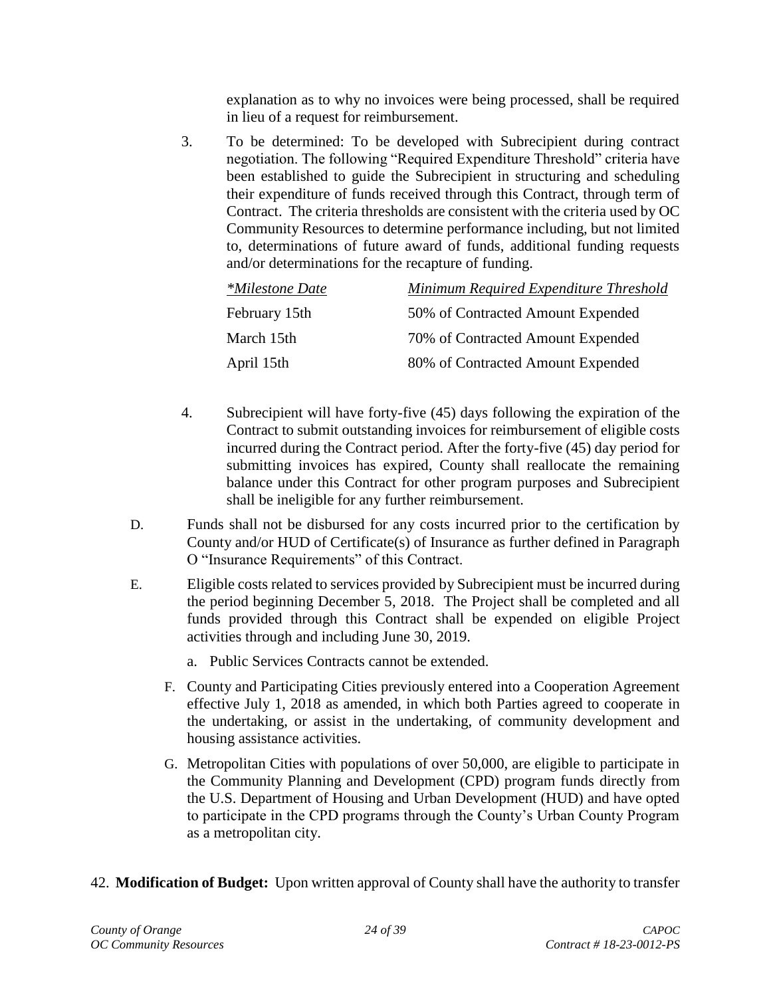explanation as to why no invoices were being processed, shall be required in lieu of a request for reimbursement.

3. To be determined: To be developed with Subrecipient during contract negotiation. The following "Required Expenditure Threshold" criteria have been established to guide the Subrecipient in structuring and scheduling their expenditure of funds received through this Contract, through term of Contract. The criteria thresholds are consistent with the criteria used by OC Community Resources to determine performance including, but not limited to, determinations of future award of funds, additional funding requests and/or determinations for the recapture of funding.

| <i>*Milestone Date</i> | Minimum Required Expenditure Threshold |
|------------------------|----------------------------------------|
| February 15th          | 50% of Contracted Amount Expended      |
| March 15th             | 70% of Contracted Amount Expended      |
| April 15th             | 80% of Contracted Amount Expended      |

- 4. Subrecipient will have forty-five (45) days following the expiration of the Contract to submit outstanding invoices for reimbursement of eligible costs incurred during the Contract period. After the forty-five (45) day period for submitting invoices has expired, County shall reallocate the remaining balance under this Contract for other program purposes and Subrecipient shall be ineligible for any further reimbursement.
- D. Funds shall not be disbursed for any costs incurred prior to the certification by County and/or HUD of Certificate(s) of Insurance as further defined in Paragraph O "Insurance Requirements" of this Contract.
- E. Eligible costs related to services provided by Subrecipient must be incurred during the period beginning December 5, 2018. The Project shall be completed and all funds provided through this Contract shall be expended on eligible Project activities through and including June 30, 2019.
	- a. Public Services Contracts cannot be extended.
	- F. County and Participating Cities previously entered into a Cooperation Agreement effective July 1, 2018 as amended, in which both Parties agreed to cooperate in the undertaking, or assist in the undertaking, of community development and housing assistance activities.
	- G. Metropolitan Cities with populations of over 50,000, are eligible to participate in the Community Planning and Development (CPD) program funds directly from the U.S. Department of Housing and Urban Development (HUD) and have opted to participate in the CPD programs through the County's Urban County Program as a metropolitan city.
- <span id="page-23-0"></span>42. **Modification of Budget:** Upon written approval of County shall have the authority to transfer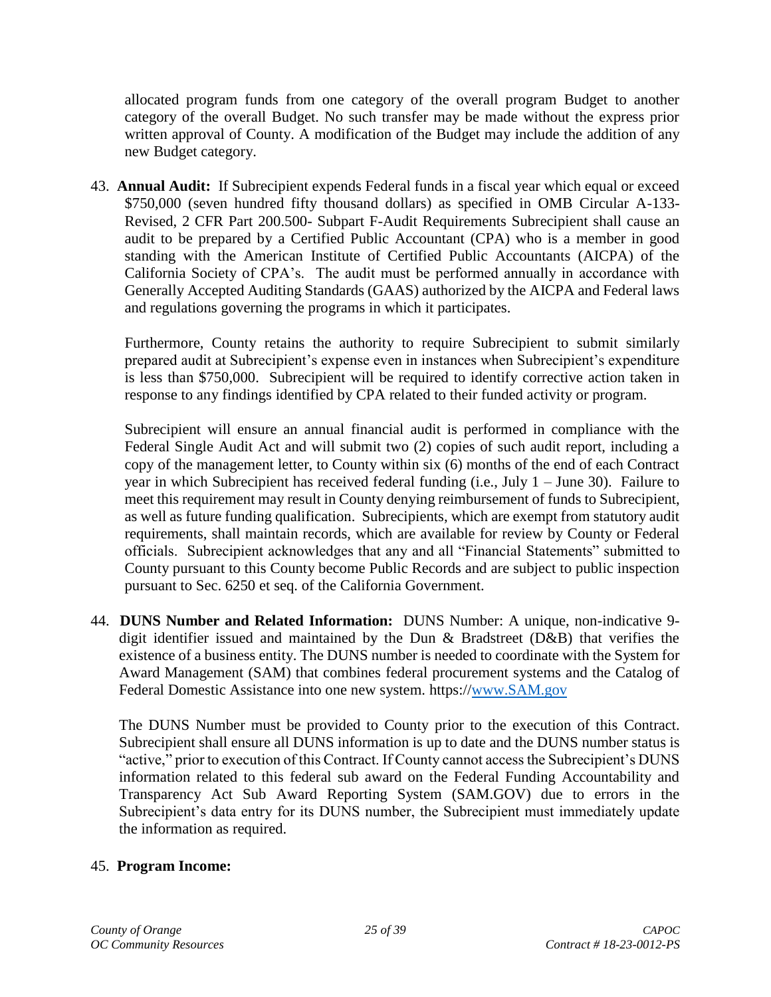allocated program funds from one category of the overall program Budget to another category of the overall Budget. No such transfer may be made without the express prior written approval of County. A modification of the Budget may include the addition of any new Budget category.

<span id="page-24-0"></span>43. **Annual Audit:** If Subrecipient expends Federal funds in a fiscal year which equal or exceed \$750,000 (seven hundred fifty thousand dollars) as specified in OMB Circular A-133- Revised, 2 CFR Part 200.500- Subpart F-Audit Requirements Subrecipient shall cause an audit to be prepared by a Certified Public Accountant (CPA) who is a member in good standing with the American Institute of Certified Public Accountants (AICPA) of the California Society of CPA's. The audit must be performed annually in accordance with Generally Accepted Auditing Standards (GAAS) authorized by the AICPA and Federal laws and regulations governing the programs in which it participates.

Furthermore, County retains the authority to require Subrecipient to submit similarly prepared audit at Subrecipient's expense even in instances when Subrecipient's expenditure is less than \$750,000. Subrecipient will be required to identify corrective action taken in response to any findings identified by CPA related to their funded activity or program.

Subrecipient will ensure an annual financial audit is performed in compliance with the Federal Single Audit Act and will submit two (2) copies of such audit report, including a copy of the management letter, to County within six (6) months of the end of each Contract year in which Subrecipient has received federal funding (i.e., July 1 – June 30). Failure to meet this requirement may result in County denying reimbursement of funds to Subrecipient, as well as future funding qualification. Subrecipients, which are exempt from statutory audit requirements, shall maintain records, which are available for review by County or Federal officials. Subrecipient acknowledges that any and all "Financial Statements" submitted to County pursuant to this County become Public Records and are subject to public inspection pursuant to Sec. 6250 et seq. of the California Government.

<span id="page-24-1"></span>44. **DUNS Number and Related Information:** DUNS Number: A unique, non-indicative 9 digit identifier issued and maintained by the Dun & Bradstreet (D&B) that verifies the existence of a business entity. The DUNS number is needed to coordinate with the System for Award Management (SAM) that combines federal procurement systems and the Catalog of Federal Domestic Assistance into one new system. https:/[/www.SAM.gov](http://www.sam.gov/) 

The DUNS Number must be provided to County prior to the execution of this Contract. Subrecipient shall ensure all DUNS information is up to date and the DUNS number status is "active," prior to execution of this Contract. If County cannot access the Subrecipient's DUNS information related to this federal sub award on the Federal Funding Accountability and Transparency Act Sub Award Reporting System (SAM.GOV) due to errors in the Subrecipient's data entry for its DUNS number, the Subrecipient must immediately update the information as required.

## <span id="page-24-2"></span>45. **Program Income:**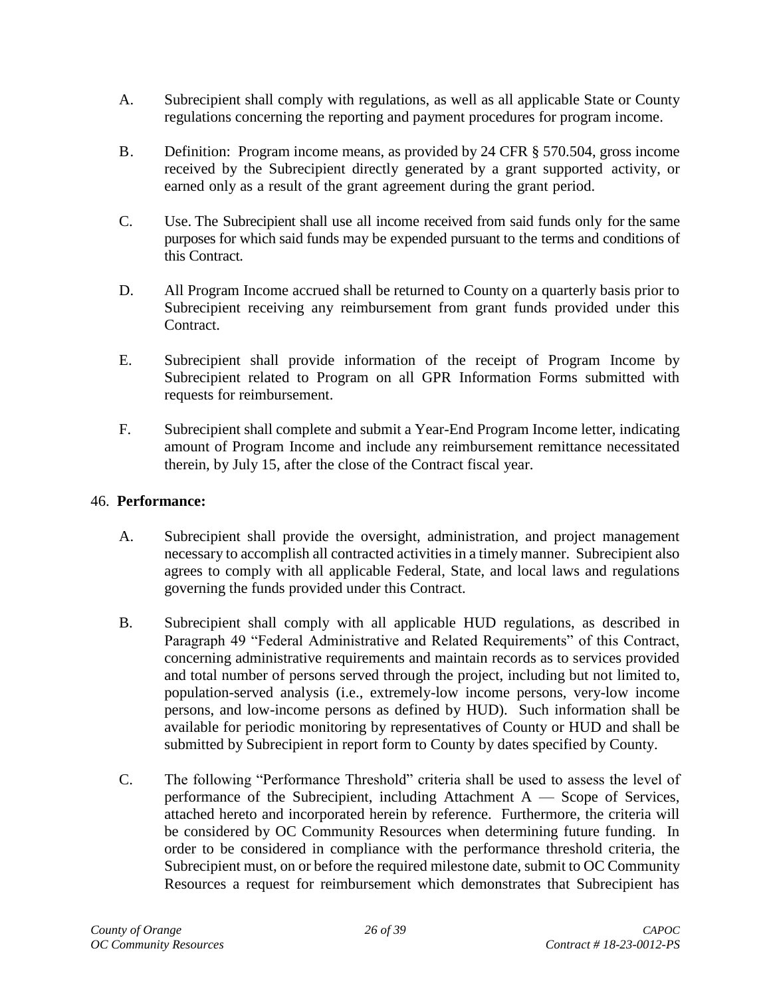- A. Subrecipient shall comply with regulations, as well as all applicable State or County regulations concerning the reporting and payment procedures for program income.
- B. Definition: Program income means, as provided by 24 CFR § 570.504, gross income received by the Subrecipient directly generated by a grant supported activity, or earned only as a result of the grant agreement during the grant period.
- C. Use. The Subrecipient shall use all income received from said funds only for the same purposes for which said funds may be expended pursuant to the terms and conditions of this Contract.
- D. All Program Income accrued shall be returned to County on a quarterly basis prior to Subrecipient receiving any reimbursement from grant funds provided under this Contract.
- E. Subrecipient shall provide information of the receipt of Program Income by Subrecipient related to Program on all GPR Information Forms submitted with requests for reimbursement.
- F. Subrecipient shall complete and submit a Year-End Program Income letter, indicating amount of Program Income and include any reimbursement remittance necessitated therein, by July 15, after the close of the Contract fiscal year.

#### <span id="page-25-0"></span>46. **Performance:**

- A. Subrecipient shall provide the oversight, administration, and project management necessary to accomplish all contracted activities in a timely manner. Subrecipient also agrees to comply with all applicable Federal, State, and local laws and regulations governing the funds provided under this Contract.
- B. Subrecipient shall comply with all applicable HUD regulations, as described in Paragraph 49 "Federal Administrative and Related Requirements" of this Contract, concerning administrative requirements and maintain records as to services provided and total number of persons served through the project, including but not limited to, population-served analysis (i.e., extremely-low income persons, very-low income persons, and low-income persons as defined by HUD). Such information shall be available for periodic monitoring by representatives of County or HUD and shall be submitted by Subrecipient in report form to County by dates specified by County.
- C. The following "Performance Threshold" criteria shall be used to assess the level of performance of the Subrecipient, including Attachment  $A -$  Scope of Services, attached hereto and incorporated herein by reference. Furthermore, the criteria will be considered by OC Community Resources when determining future funding. In order to be considered in compliance with the performance threshold criteria, the Subrecipient must, on or before the required milestone date, submit to OC Community Resources a request for reimbursement which demonstrates that Subrecipient has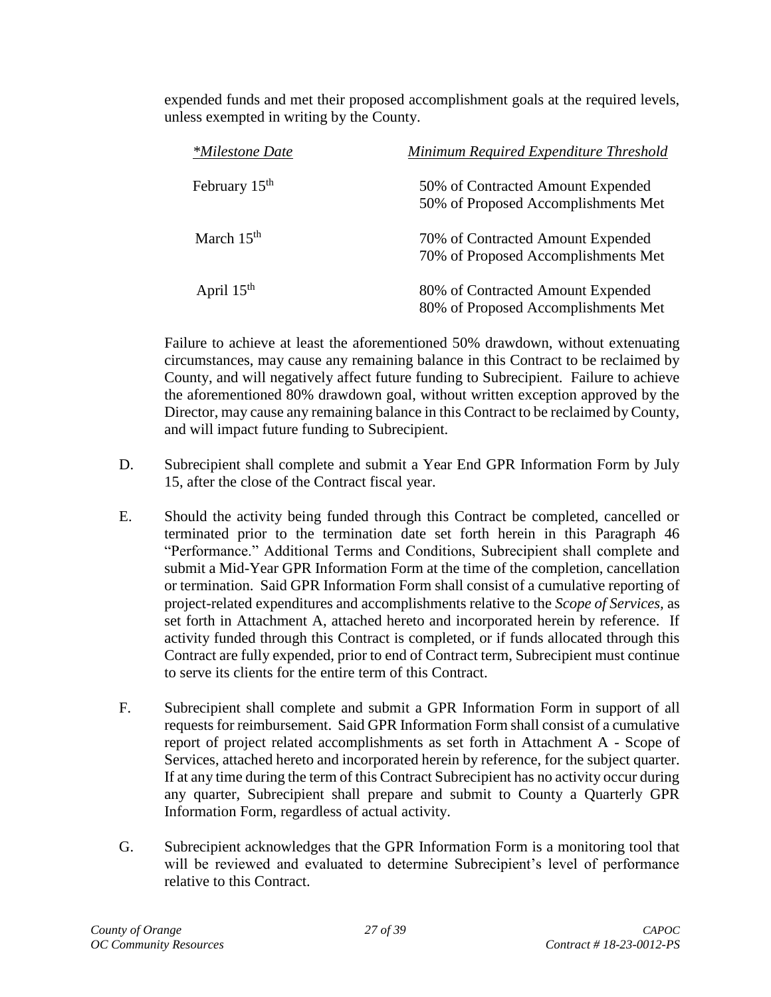expended funds and met their proposed accomplishment goals at the required levels, unless exempted in writing by the County.

| <i>*Milestone Date</i> | Minimum Required Expenditure Threshold |
|------------------------|----------------------------------------|
| February $15th$        | 50% of Contracted Amount Expended      |
|                        | 50% of Proposed Accomplishments Met    |
| March $15th$           | 70% of Contracted Amount Expended      |
|                        | 70% of Proposed Accomplishments Met    |
| April $15th$           | 80% of Contracted Amount Expended      |
|                        | 80% of Proposed Accomplishments Met    |

Failure to achieve at least the aforementioned 50% drawdown, without extenuating circumstances, may cause any remaining balance in this Contract to be reclaimed by County, and will negatively affect future funding to Subrecipient. Failure to achieve the aforementioned 80% drawdown goal, without written exception approved by the Director, may cause any remaining balance in this Contract to be reclaimed by County, and will impact future funding to Subrecipient.

- D. Subrecipient shall complete and submit a Year End GPR Information Form by July 15, after the close of the Contract fiscal year.
- E. Should the activity being funded through this Contract be completed, cancelled or terminated prior to the termination date set forth herein in this Paragraph 46 "Performance." Additional Terms and Conditions, Subrecipient shall complete and submit a Mid-Year GPR Information Form at the time of the completion, cancellation or termination. Said GPR Information Form shall consist of a cumulative reporting of project-related expenditures and accomplishments relative to the *Scope of Services,* as set forth in Attachment A, attached hereto and incorporated herein by reference. If activity funded through this Contract is completed, or if funds allocated through this Contract are fully expended, prior to end of Contract term, Subrecipient must continue to serve its clients for the entire term of this Contract.
- F. Subrecipient shall complete and submit a GPR Information Form in support of all requests for reimbursement. Said GPR Information Form shall consist of a cumulative report of project related accomplishments as set forth in Attachment A - Scope of Services, attached hereto and incorporated herein by reference, for the subject quarter. If at any time during the term of this Contract Subrecipient has no activity occur during any quarter, Subrecipient shall prepare and submit to County a Quarterly GPR Information Form, regardless of actual activity.
- G. Subrecipient acknowledges that the GPR Information Form is a monitoring tool that will be reviewed and evaluated to determine Subrecipient's level of performance relative to this Contract.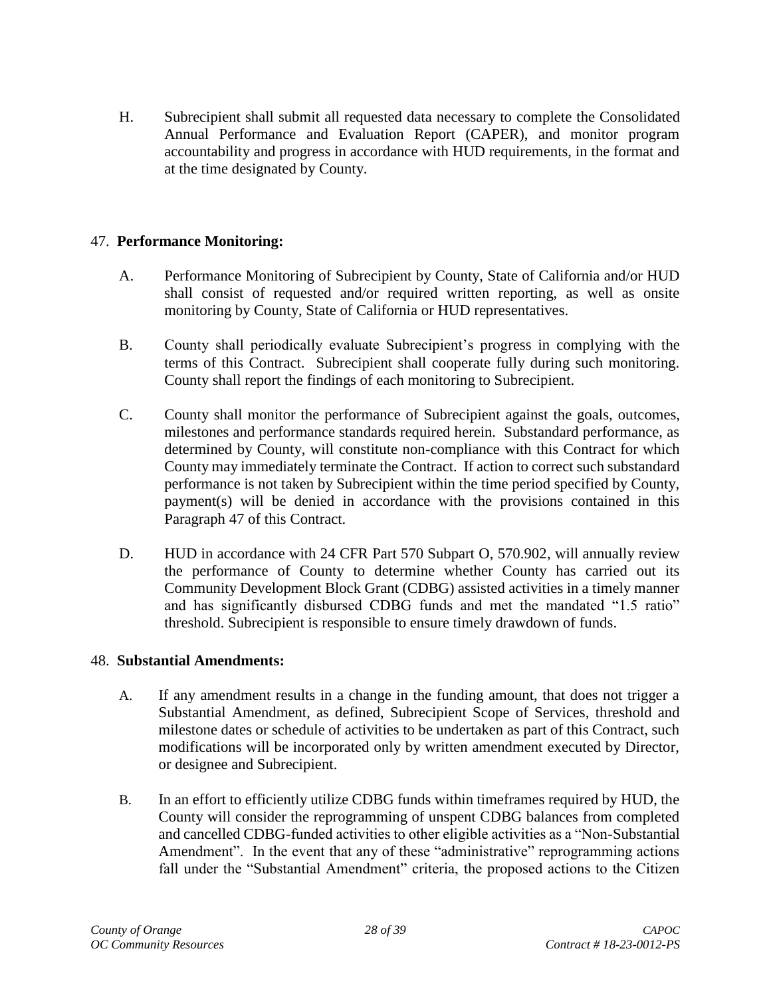H. Subrecipient shall submit all requested data necessary to complete the Consolidated Annual Performance and Evaluation Report (CAPER), and monitor program accountability and progress in accordance with HUD requirements, in the format and at the time designated by County.

## <span id="page-27-0"></span>47. **Performance Monitoring:**

- A. Performance Monitoring of Subrecipient by County, State of California and/or HUD shall consist of requested and/or required written reporting, as well as onsite monitoring by County, State of California or HUD representatives.
- B. County shall periodically evaluate Subrecipient's progress in complying with the terms of this Contract. Subrecipient shall cooperate fully during such monitoring. County shall report the findings of each monitoring to Subrecipient.
- C. County shall monitor the performance of Subrecipient against the goals, outcomes, milestones and performance standards required herein. Substandard performance, as determined by County, will constitute non-compliance with this Contract for which County may immediately terminate the Contract. If action to correct such substandard performance is not taken by Subrecipient within the time period specified by County, payment(s) will be denied in accordance with the provisions contained in this Paragraph 47 of this Contract.
- D. HUD in accordance with 24 CFR Part 570 Subpart O, 570.902, will annually review the performance of County to determine whether County has carried out its Community Development Block Grant (CDBG) assisted activities in a timely manner and has significantly disbursed CDBG funds and met the mandated "1.5 ratio" threshold. Subrecipient is responsible to ensure timely drawdown of funds.

## <span id="page-27-1"></span>48. **Substantial Amendments:**

- A. If any amendment results in a change in the funding amount, that does not trigger a Substantial Amendment, as defined, Subrecipient Scope of Services, threshold and milestone dates or schedule of activities to be undertaken as part of this Contract, such modifications will be incorporated only by written amendment executed by Director, or designee and Subrecipient.
- B. In an effort to efficiently utilize CDBG funds within timeframes required by HUD, the County will consider the reprogramming of unspent CDBG balances from completed and cancelled CDBG-funded activities to other eligible activities as a "Non-Substantial Amendment". In the event that any of these "administrative" reprogramming actions fall under the "Substantial Amendment" criteria, the proposed actions to the Citizen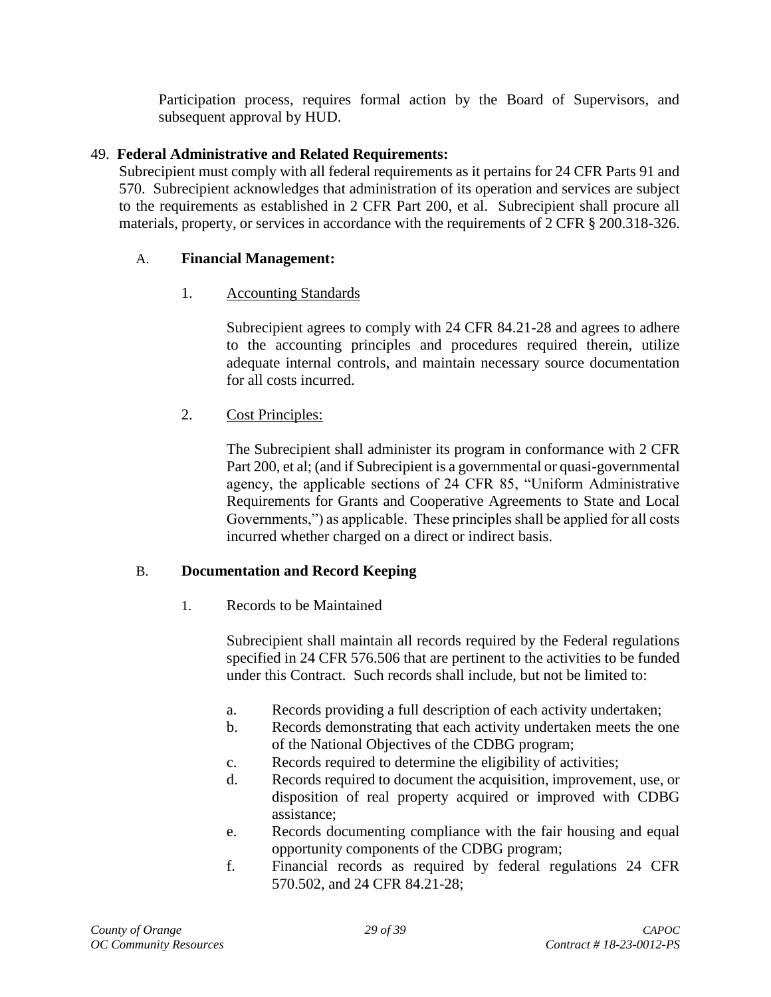Participation process, requires formal action by the Board of Supervisors, and subsequent approval by HUD.

## <span id="page-28-0"></span>49. **Federal Administrative and Related Requirements:**

Subrecipient must comply with all federal requirements as it pertains for 24 CFR Parts 91 and 570. Subrecipient acknowledges that administration of its operation and services are subject to the requirements as established in 2 CFR Part 200, et al. Subrecipient shall procure all materials, property, or services in accordance with the requirements of 2 CFR § 200.318-326.

## A. **Financial Management:**

## 1. Accounting Standards

Subrecipient agrees to comply with 24 CFR 84.21-28 and agrees to adhere to the accounting principles and procedures required therein, utilize adequate internal controls, and maintain necessary source documentation for all costs incurred.

# 2. Cost Principles:

The Subrecipient shall administer its program in conformance with 2 CFR Part 200, et al; (and if Subrecipient is a governmental or quasi-governmental agency, the applicable sections of 24 CFR 85, "Uniform Administrative Requirements for Grants and Cooperative Agreements to State and Local Governments,") as applicable. These principles shall be applied for all costs incurred whether charged on a direct or indirect basis.

## B. **Documentation and Record Keeping**

1. Records to be Maintained

Subrecipient shall maintain all records required by the Federal regulations specified in 24 CFR 576.506 that are pertinent to the activities to be funded under this Contract. Such records shall include, but not be limited to:

- a. Records providing a full description of each activity undertaken;
- b. Records demonstrating that each activity undertaken meets the one of the National Objectives of the CDBG program;
- c. Records required to determine the eligibility of activities;
- d. Records required to document the acquisition, improvement, use, or disposition of real property acquired or improved with CDBG assistance;
- e. Records documenting compliance with the fair housing and equal opportunity components of the CDBG program;
- f. Financial records as required by federal regulations 24 CFR 570.502, and 24 CFR 84.21-28;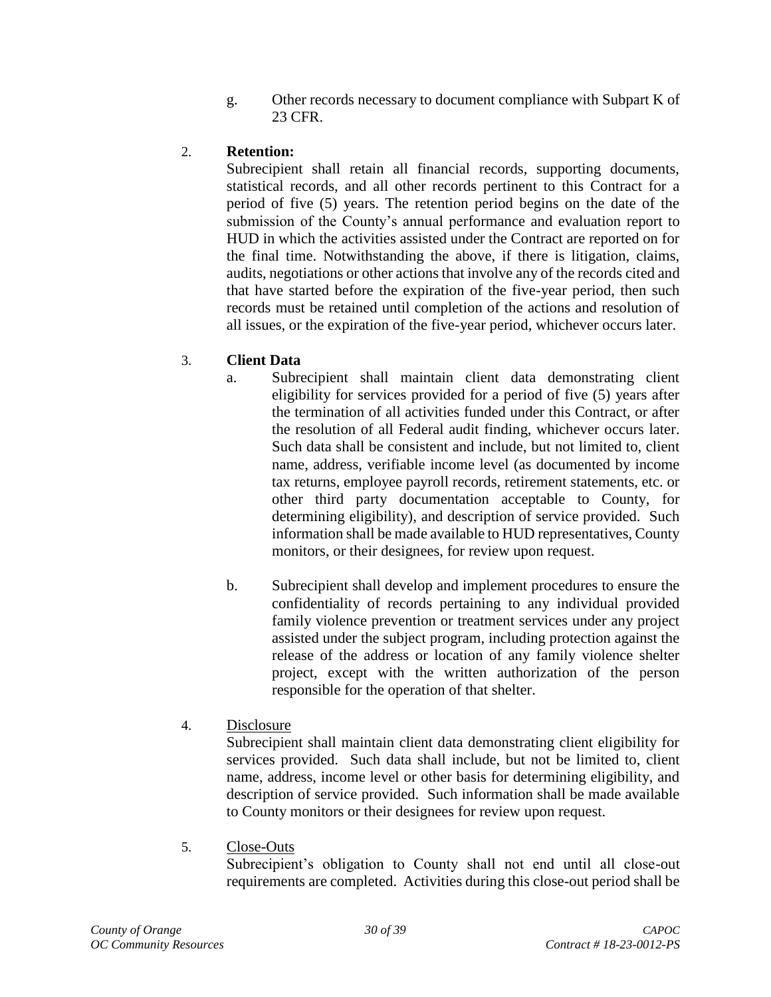g. Other records necessary to document compliance with Subpart K of 23 CFR.

# 2. **Retention:**

Subrecipient shall retain all financial records, supporting documents, statistical records, and all other records pertinent to this Contract for a period of five (5) years. The retention period begins on the date of the submission of the County's annual performance and evaluation report to HUD in which the activities assisted under the Contract are reported on for the final time. Notwithstanding the above, if there is litigation, claims, audits, negotiations or other actions that involve any of the records cited and that have started before the expiration of the five-year period, then such records must be retained until completion of the actions and resolution of all issues, or the expiration of the five-year period, whichever occurs later.

# 3. **Client Data**

- a. Subrecipient shall maintain client data demonstrating client eligibility for services provided for a period of five (5) years after the termination of all activities funded under this Contract, or after the resolution of all Federal audit finding, whichever occurs later. Such data shall be consistent and include, but not limited to, client name, address, verifiable income level (as documented by income tax returns, employee payroll records, retirement statements, etc. or other third party documentation acceptable to County, for determining eligibility), and description of service provided. Such information shall be made available to HUD representatives, County monitors, or their designees, for review upon request.
- b. Subrecipient shall develop and implement procedures to ensure the confidentiality of records pertaining to any individual provided family violence prevention or treatment services under any project assisted under the subject program, including protection against the release of the address or location of any family violence shelter project, except with the written authorization of the person responsible for the operation of that shelter.
- 4. Disclosure

Subrecipient shall maintain client data demonstrating client eligibility for services provided. Such data shall include, but not be limited to, client name, address, income level or other basis for determining eligibility, and description of service provided. Such information shall be made available to County monitors or their designees for review upon request.

5. Close-Outs

Subrecipient's obligation to County shall not end until all close-out requirements are completed. Activities during this close-out period shall be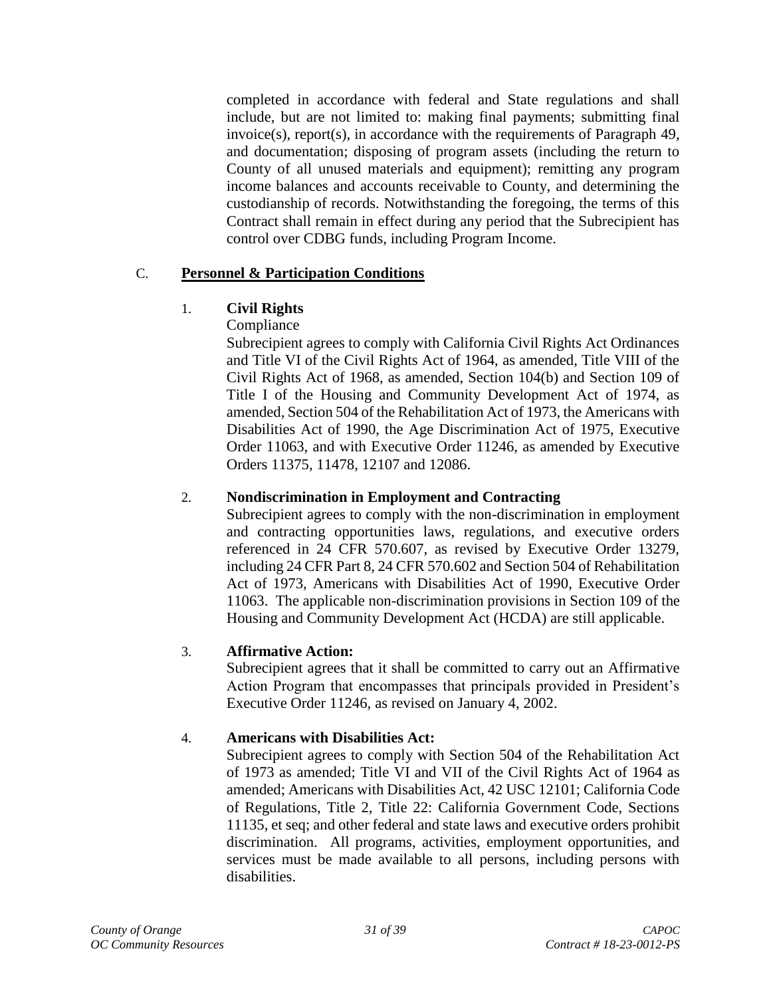completed in accordance with federal and State regulations and shall include, but are not limited to: making final payments; submitting final invoice(s), report(s), in accordance with the requirements of Paragraph 49, and documentation; disposing of program assets (including the return to County of all unused materials and equipment); remitting any program income balances and accounts receivable to County, and determining the custodianship of records. Notwithstanding the foregoing, the terms of this Contract shall remain in effect during any period that the Subrecipient has control over CDBG funds, including Program Income.

## C. **Personnel & Participation Conditions**

# 1. **Civil Rights**

# Compliance

Subrecipient agrees to comply with California Civil Rights Act Ordinances and Title VI of the Civil Rights Act of 1964, as amended, Title VIII of the Civil Rights Act of 1968, as amended, Section 104(b) and Section 109 of Title I of the Housing and Community Development Act of 1974, as amended, Section 504 of the Rehabilitation Act of 1973, the Americans with Disabilities Act of 1990, the Age Discrimination Act of 1975, Executive Order 11063, and with Executive Order 11246, as amended by Executive Orders 11375, 11478, 12107 and 12086.

## 2. **Nondiscrimination in Employment and Contracting**

Subrecipient agrees to comply with the non-discrimination in employment and contracting opportunities laws, regulations, and executive orders referenced in 24 CFR 570.607, as revised by Executive Order 13279, including 24 CFR Part 8, 24 CFR 570.602 and Section 504 of Rehabilitation Act of 1973, Americans with Disabilities Act of 1990, Executive Order 11063. The applicable non-discrimination provisions in Section 109 of the Housing and Community Development Act (HCDA) are still applicable.

# 3. **Affirmative Action:**

Subrecipient agrees that it shall be committed to carry out an Affirmative Action Program that encompasses that principals provided in President's Executive Order 11246, as revised on January 4, 2002.

## 4. **Americans with Disabilities Act:**

Subrecipient agrees to comply with Section 504 of the Rehabilitation Act of 1973 as amended; Title VI and VII of the Civil Rights Act of 1964 as amended; Americans with Disabilities Act, 42 USC 12101; California Code of Regulations, Title 2, Title 22: California Government Code, Sections 11135, et seq; and other federal and state laws and executive orders prohibit discrimination. All programs, activities, employment opportunities, and services must be made available to all persons, including persons with disabilities.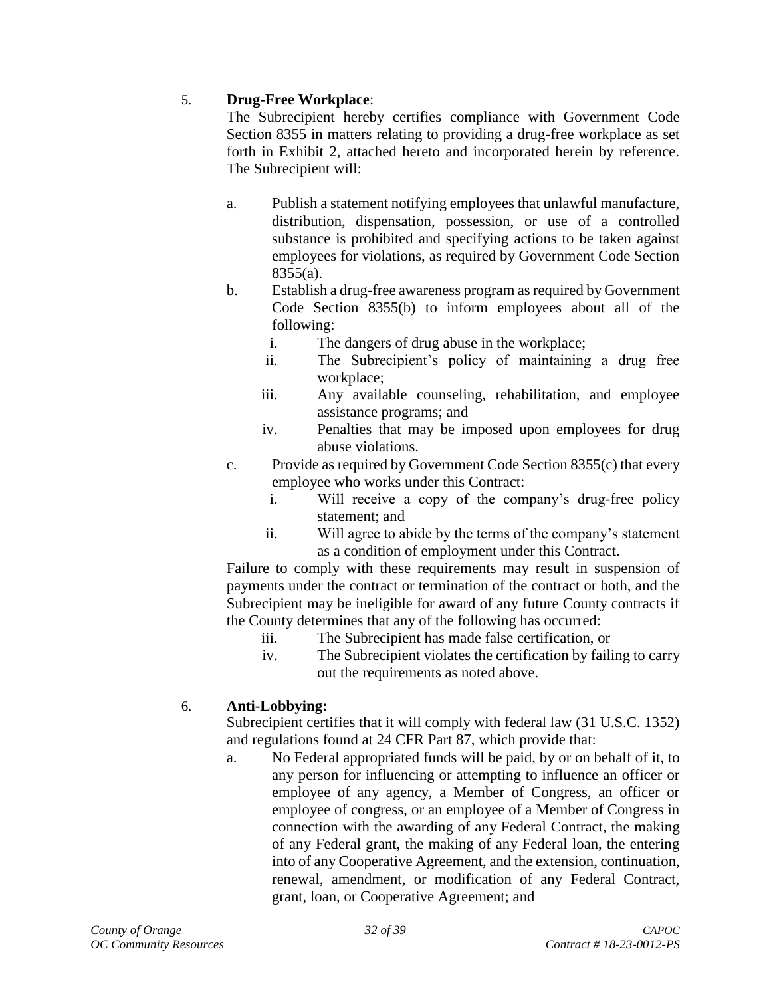## 5. **Drug-Free Workplace**:

The Subrecipient hereby certifies compliance with Government Code Section 8355 in matters relating to providing a drug-free workplace as set forth in Exhibit 2, attached hereto and incorporated herein by reference. The Subrecipient will:

- a. Publish a statement notifying employees that unlawful manufacture, distribution, dispensation, possession, or use of a controlled substance is prohibited and specifying actions to be taken against employees for violations, as required by Government Code Section 8355(a).
- b. Establish a drug-free awareness program as required by Government Code Section 8355(b) to inform employees about all of the following:
	- i. The dangers of drug abuse in the workplace;
	- ii. The Subrecipient's policy of maintaining a drug free workplace;
	- iii. Any available counseling, rehabilitation, and employee assistance programs; and
	- iv. Penalties that may be imposed upon employees for drug abuse violations.
- c. Provide as required by Government Code Section 8355(c) that every employee who works under this Contract:
	- i. Will receive a copy of the company's drug-free policy statement; and
	- ii. Will agree to abide by the terms of the company's statement as a condition of employment under this Contract.

Failure to comply with these requirements may result in suspension of payments under the contract or termination of the contract or both, and the Subrecipient may be ineligible for award of any future County contracts if the County determines that any of the following has occurred:

- iii. The Subrecipient has made false certification, or
- iv. The Subrecipient violates the certification by failing to carry out the requirements as noted above.

## 6. **Anti-Lobbying:**

Subrecipient certifies that it will comply with federal law (31 U.S.C. 1352) and regulations found at 24 CFR Part 87, which provide that:

a. No Federal appropriated funds will be paid, by or on behalf of it, to any person for influencing or attempting to influence an officer or employee of any agency, a Member of Congress, an officer or employee of congress, or an employee of a Member of Congress in connection with the awarding of any Federal Contract, the making of any Federal grant, the making of any Federal loan, the entering into of any Cooperative Agreement, and the extension, continuation, renewal, amendment, or modification of any Federal Contract, grant, loan, or Cooperative Agreement; and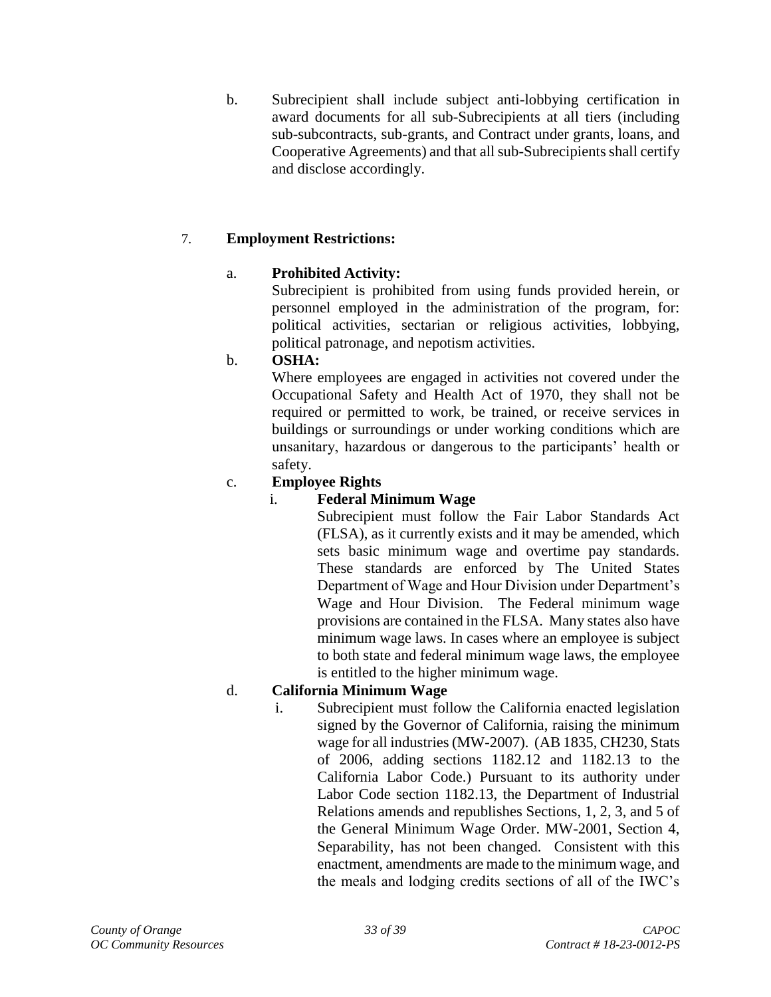b. Subrecipient shall include subject anti-lobbying certification in award documents for all sub-Subrecipients at all tiers (including sub-subcontracts, sub-grants, and Contract under grants, loans, and Cooperative Agreements) and that all sub-Subrecipients shall certify and disclose accordingly.

# 7. **Employment Restrictions:**

## a. **Prohibited Activity:**

Subrecipient is prohibited from using funds provided herein, or personnel employed in the administration of the program, for: political activities, sectarian or religious activities, lobbying, political patronage, and nepotism activities.

## b. **OSHA:**

Where employees are engaged in activities not covered under the Occupational Safety and Health Act of 1970, they shall not be required or permitted to work, be trained, or receive services in buildings or surroundings or under working conditions which are unsanitary, hazardous or dangerous to the participants' health or safety.

## c. **Employee Rights**

## i. **Federal Minimum Wage**

Subrecipient must follow the Fair Labor Standards Act (FLSA), as it currently exists and it may be amended, which sets basic minimum wage and overtime pay standards. These standards are enforced by The United States Department of Wage and Hour Division under Department's Wage and Hour Division. The Federal minimum wage provisions are contained in the FLSA. Many states also have minimum wage laws. In cases where an employee is subject to both state and federal minimum wage laws, the employee is entitled to the higher minimum wage.

## d. **California Minimum Wage**

i. Subrecipient must follow the California enacted legislation signed by the Governor of California, raising the minimum wage for all industries (MW-2007). (AB 1835, CH230, Stats of 2006, adding sections 1182.12 and 1182.13 to the California Labor Code.) Pursuant to its authority under Labor Code section 1182.13, the Department of Industrial Relations amends and republishes Sections, 1, 2, 3, and 5 of the General Minimum Wage Order. MW-2001, Section 4, Separability, has not been changed. Consistent with this enactment, amendments are made to the minimum wage, and the meals and lodging credits sections of all of the IWC's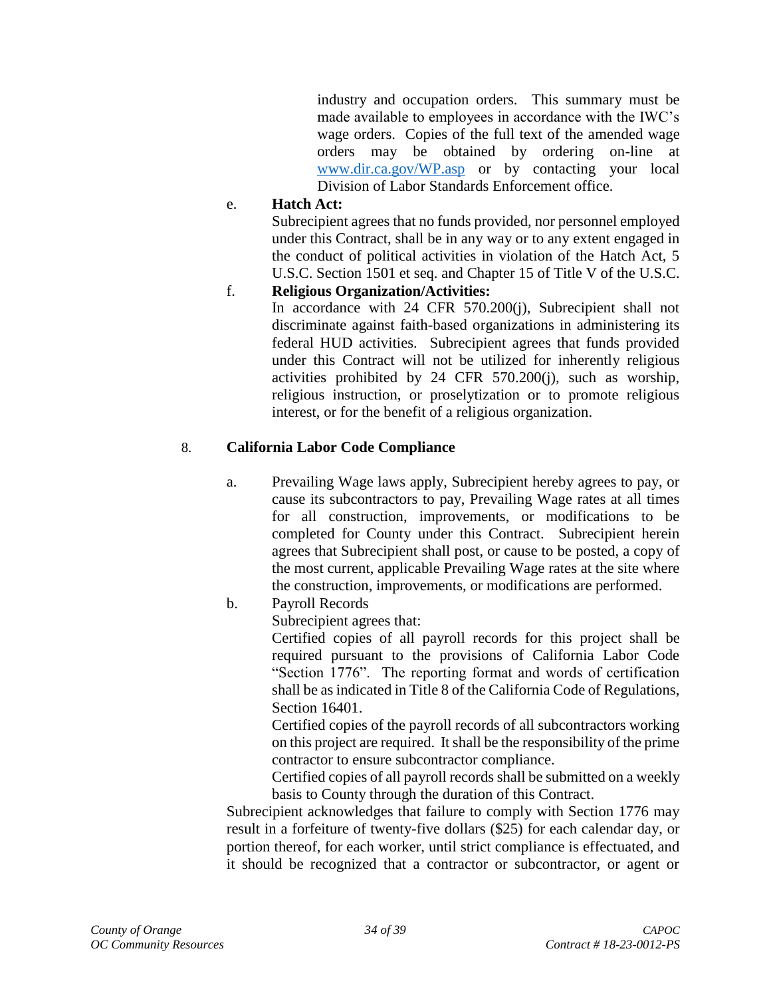industry and occupation orders. This summary must be made available to employees in accordance with the IWC's wage orders. Copies of the full text of the amended wage orders may be obtained by ordering on-line at [www.dir.ca.gov/WP.asp](http://www.dir.ca.gov/WP.asp) or by contacting your local Division of Labor Standards Enforcement office.

#### e. **Hatch Act:**

Subrecipient agrees that no funds provided, nor personnel employed under this Contract, shall be in any way or to any extent engaged in the conduct of political activities in violation of the Hatch Act, 5 U.S.C. Section 1501 et seq. and Chapter 15 of Title V of the U.S.C.

## f. **Religious Organization/Activities:**

In accordance with 24 CFR 570.200(j), Subrecipient shall not discriminate against faith-based organizations in administering its federal HUD activities. Subrecipient agrees that funds provided under this Contract will not be utilized for inherently religious activities prohibited by 24 CFR 570.200(j), such as worship, religious instruction, or proselytization or to promote religious interest, or for the benefit of a religious organization.

## 8. **California Labor Code Compliance**

- a. Prevailing Wage laws apply, Subrecipient hereby agrees to pay, or cause its subcontractors to pay, Prevailing Wage rates at all times for all construction, improvements, or modifications to be completed for County under this Contract. Subrecipient herein agrees that Subrecipient shall post, or cause to be posted, a copy of the most current, applicable Prevailing Wage rates at the site where the construction, improvements, or modifications are performed.
- b. Payroll Records

Subrecipient agrees that:

Certified copies of all payroll records for this project shall be required pursuant to the provisions of California Labor Code "Section 1776". The reporting format and words of certification shall be as indicated in Title 8 of the California Code of Regulations, Section 16401.

Certified copies of the payroll records of all subcontractors working on this project are required. It shall be the responsibility of the prime contractor to ensure subcontractor compliance.

Certified copies of all payroll records shall be submitted on a weekly basis to County through the duration of this Contract.

Subrecipient acknowledges that failure to comply with Section 1776 may result in a forfeiture of twenty-five dollars (\$25) for each calendar day, or portion thereof, for each worker, until strict compliance is effectuated, and it should be recognized that a contractor or subcontractor, or agent or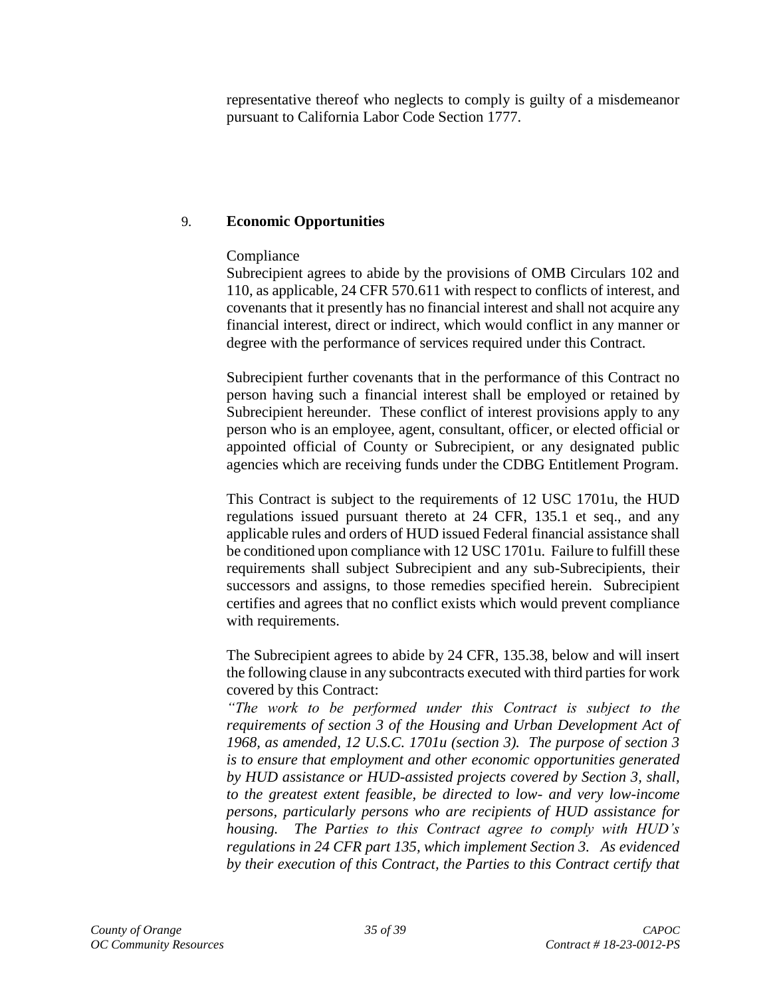representative thereof who neglects to comply is guilty of a misdemeanor pursuant to California Labor Code Section 1777.

## 9. **Economic Opportunities**

## Compliance

Subrecipient agrees to abide by the provisions of OMB Circulars 102 and 110, as applicable, 24 CFR 570.611 with respect to conflicts of interest, and covenants that it presently has no financial interest and shall not acquire any financial interest, direct or indirect, which would conflict in any manner or degree with the performance of services required under this Contract.

Subrecipient further covenants that in the performance of this Contract no person having such a financial interest shall be employed or retained by Subrecipient hereunder. These conflict of interest provisions apply to any person who is an employee, agent, consultant, officer, or elected official or appointed official of County or Subrecipient, or any designated public agencies which are receiving funds under the CDBG Entitlement Program.

This Contract is subject to the requirements of 12 USC 1701u, the HUD regulations issued pursuant thereto at 24 CFR, 135.1 et seq., and any applicable rules and orders of HUD issued Federal financial assistance shall be conditioned upon compliance with 12 USC 1701u. Failure to fulfill these requirements shall subject Subrecipient and any sub-Subrecipients, their successors and assigns, to those remedies specified herein. Subrecipient certifies and agrees that no conflict exists which would prevent compliance with requirements.

The Subrecipient agrees to abide by 24 CFR, 135.38, below and will insert the following clause in any subcontracts executed with third parties for work covered by this Contract:

*"The work to be performed under this Contract is subject to the requirements of section 3 of the Housing and Urban Development Act of 1968, as amended, 12 U.S.C. 1701u (section 3). The purpose of section 3 is to ensure that employment and other economic opportunities generated by HUD assistance or HUD-assisted projects covered by Section 3, shall, to the greatest extent feasible, be directed to low- and very low-income persons, particularly persons who are recipients of HUD assistance for housing. The Parties to this Contract agree to comply with HUD's regulations in 24 CFR part 135, which implement Section 3. As evidenced by their execution of this Contract, the Parties to this Contract certify that*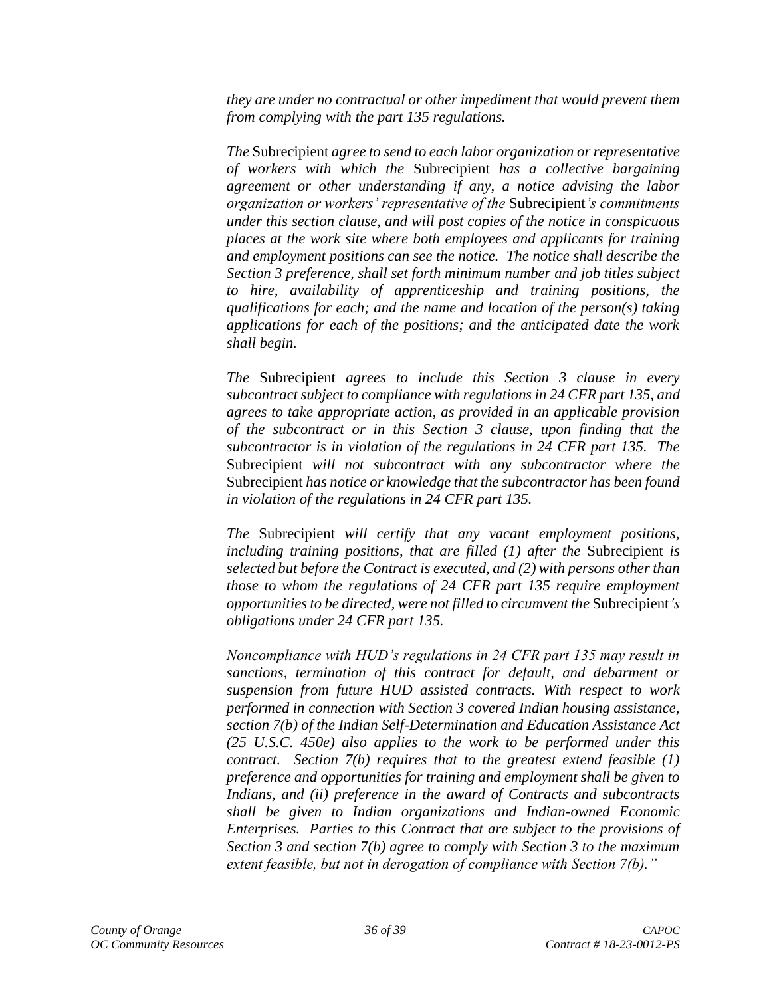*they are under no contractual or other impediment that would prevent them from complying with the part 135 regulations.*

*The* Subrecipient *agree to send to each labor organization or representative of workers with which the* Subrecipient *has a collective bargaining agreement or other understanding if any, a notice advising the labor organization or workers' representative of the* Subrecipient*'s commitments under this section clause, and will post copies of the notice in conspicuous places at the work site where both employees and applicants for training and employment positions can see the notice. The notice shall describe the Section 3 preference, shall set forth minimum number and job titles subject to hire, availability of apprenticeship and training positions, the qualifications for each; and the name and location of the person(s) taking applications for each of the positions; and the anticipated date the work shall begin.*

*The* Subrecipient *agrees to include this Section 3 clause in every subcontract subject to compliance with regulations in 24 CFR part 135, and agrees to take appropriate action, as provided in an applicable provision of the subcontract or in this Section 3 clause, upon finding that the subcontractor is in violation of the regulations in 24 CFR part 135. The*  Subrecipient *will not subcontract with any subcontractor where the*  Subrecipient *has notice or knowledge that the subcontractor has been found in violation of the regulations in 24 CFR part 135.*

*The* Subrecipient *will certify that any vacant employment positions, including training positions, that are filled (1) after the Subrecipient is selected but before the Contract is executed, and (2) with persons other than those to whom the regulations of 24 CFR part 135 require employment opportunities to be directed, were not filled to circumvent the* Subrecipient*'s obligations under 24 CFR part 135.*

*Noncompliance with HUD's regulations in 24 CFR part 135 may result in sanctions, termination of this contract for default, and debarment or suspension from future HUD assisted contracts. With respect to work performed in connection with Section 3 covered Indian housing assistance, section 7(b) of the Indian Self-Determination and Education Assistance Act (25 U.S.C. 450e) also applies to the work to be performed under this contract. Section 7(b) requires that to the greatest extend feasible (1) preference and opportunities for training and employment shall be given to Indians, and (ii) preference in the award of Contracts and subcontracts shall be given to Indian organizations and Indian-owned Economic Enterprises. Parties to this Contract that are subject to the provisions of Section 3 and section 7(b) agree to comply with Section 3 to the maximum extent feasible, but not in derogation of compliance with Section 7(b)."*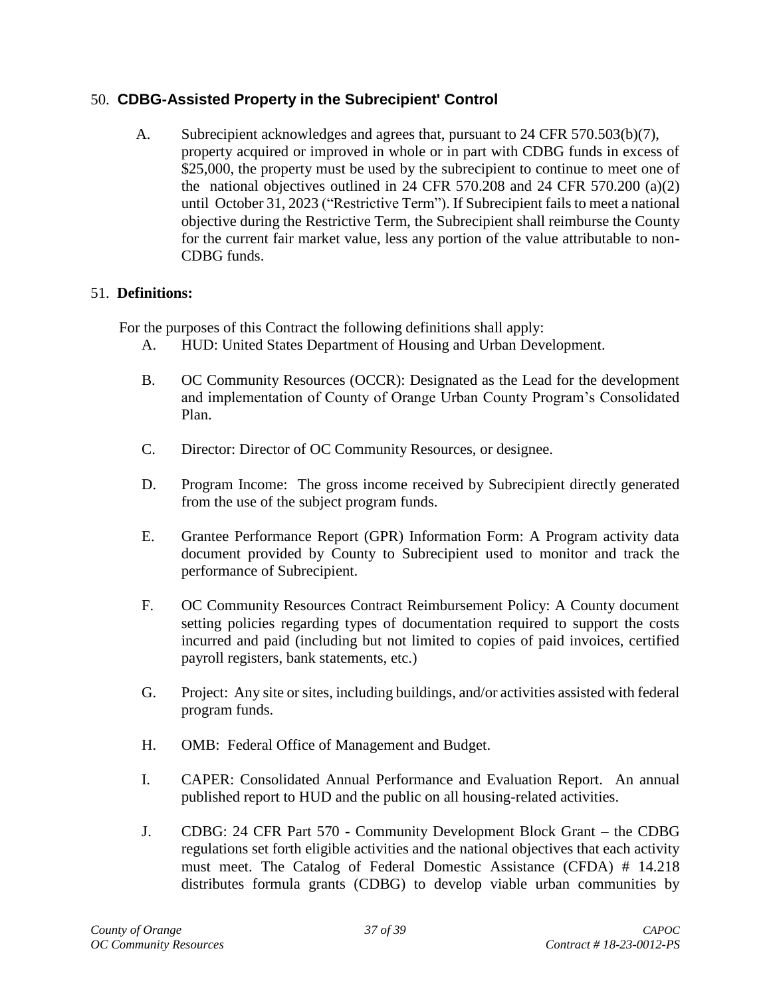## 50. **CDBG-Assisted Property in the Subrecipient' Control**

A. Subrecipient acknowledges and agrees that, pursuant to 24 CFR 570.503(b)(7), property acquired or improved in whole or in part with CDBG funds in excess of \$25,000, the property must be used by the subrecipient to continue to meet one of the national objectives outlined in 24 CFR 570.208 and 24 CFR 570.200 (a)(2) until October 31, 2023 ("Restrictive Term"). If Subrecipient fails to meet a national objective during the Restrictive Term, the Subrecipient shall reimburse the County for the current fair market value, less any portion of the value attributable to non-CDBG funds.

## <span id="page-36-0"></span>51. **Definitions:**

For the purposes of this Contract the following definitions shall apply:

- A. HUD: United States Department of Housing and Urban Development.
- B. OC Community Resources (OCCR): Designated as the Lead for the development and implementation of County of Orange Urban County Program's Consolidated Plan.
- C. Director: Director of OC Community Resources, or designee.
- D. Program Income: The gross income received by Subrecipient directly generated from the use of the subject program funds.
- E. Grantee Performance Report (GPR) Information Form: A Program activity data document provided by County to Subrecipient used to monitor and track the performance of Subrecipient.
- F. OC Community Resources Contract Reimbursement Policy: A County document setting policies regarding types of documentation required to support the costs incurred and paid (including but not limited to copies of paid invoices, certified payroll registers, bank statements, etc.)
- G. Project: Any site or sites, including buildings, and/or activities assisted with federal program funds.
- H. OMB: Federal Office of Management and Budget.
- I. CAPER: Consolidated Annual Performance and Evaluation Report. An annual published report to HUD and the public on all housing-related activities.
- J. CDBG: 24 CFR Part 570 Community Development Block Grant the CDBG regulations set forth eligible activities and the national objectives that each activity must meet. The Catalog of Federal Domestic Assistance (CFDA) # 14.218 distributes formula grants (CDBG) to develop viable urban communities by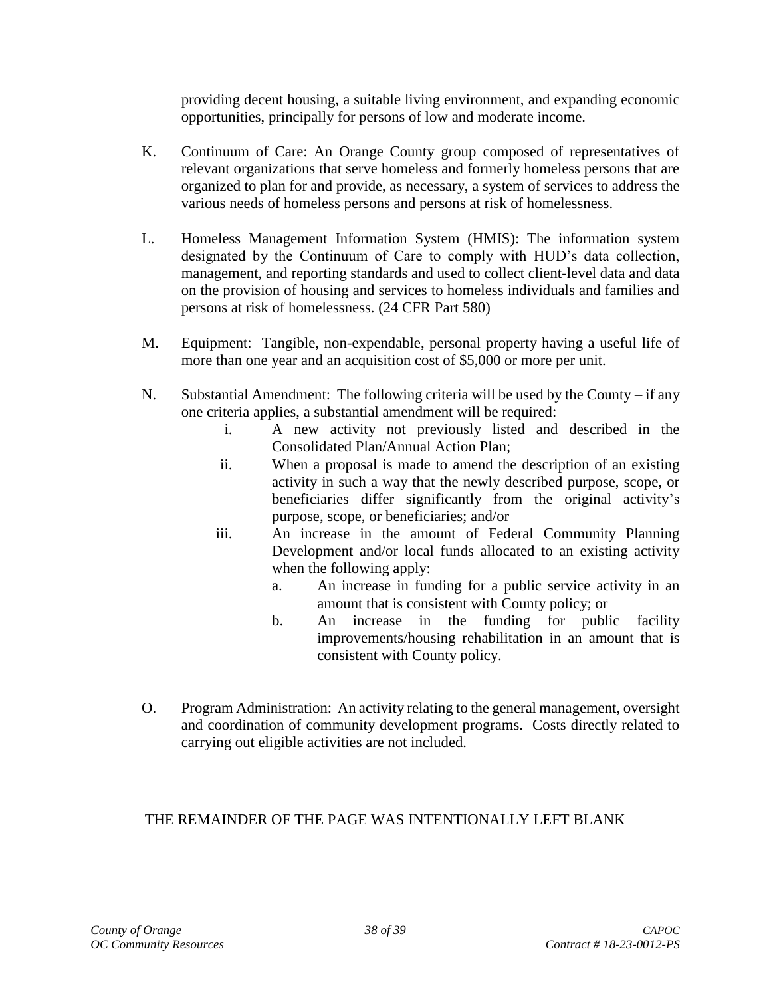providing decent housing, a suitable living environment, and expanding economic opportunities, principally for persons of low and moderate income.

- K. Continuum of Care: An Orange County group composed of representatives of relevant organizations that serve homeless and formerly homeless persons that are organized to plan for and provide, as necessary, a system of services to address the various needs of homeless persons and persons at risk of homelessness.
- L. Homeless Management Information System (HMIS): The information system designated by the Continuum of Care to comply with HUD's data collection, management, and reporting standards and used to collect client-level data and data on the provision of housing and services to homeless individuals and families and persons at risk of homelessness. (24 CFR Part 580)
- M. Equipment: Tangible, non-expendable, personal property having a useful life of more than one year and an acquisition cost of \$5,000 or more per unit.
- N. Substantial Amendment: The following criteria will be used by the County if any one criteria applies, a substantial amendment will be required:
	- i. A new activity not previously listed and described in the Consolidated Plan/Annual Action Plan;
	- ii. When a proposal is made to amend the description of an existing activity in such a way that the newly described purpose, scope, or beneficiaries differ significantly from the original activity's purpose, scope, or beneficiaries; and/or
	- iii. An increase in the amount of Federal Community Planning Development and/or local funds allocated to an existing activity when the following apply:
		- a. An increase in funding for a public service activity in an amount that is consistent with County policy; or
		- b. An increase in the funding for public facility improvements/housing rehabilitation in an amount that is consistent with County policy.
- O. Program Administration: An activity relating to the general management, oversight and coordination of community development programs. Costs directly related to carrying out eligible activities are not included.

# THE REMAINDER OF THE PAGE WAS INTENTIONALLY LEFT BLANK